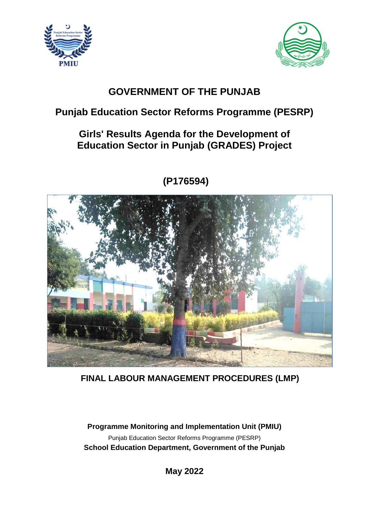



# **GOVERNMENT OF THE PUNJAB**

# **Punjab Education Sector Reforms Programme (PESRP)**

# **Girls' Results Agenda for the Development of Education Sector in Punjab (GRADES) Project**



# **(P176594)**

**FINAL LABOUR MANAGEMENT PROCEDURES (LMP)** 

**Programme Monitoring and Implementation Unit (PMIU)** Punjab Education Sector Reforms Programme (PESRP) **School Education Department, Government of the Punjab**

**May 2022**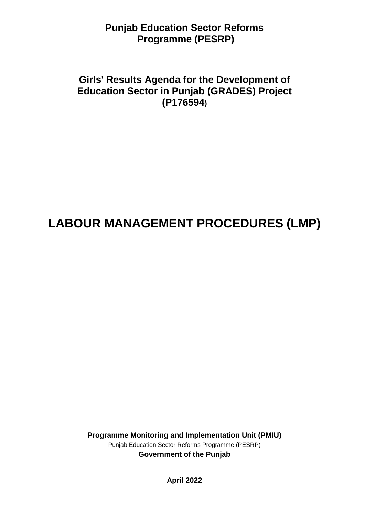# **Punjab Education Sector Reforms Programme (PESRP)**

# **Girls' Results Agenda for the Development of Education Sector in Punjab (GRADES) Project (P176594)**

# **LABOUR MANAGEMENT PROCEDURES (LMP)**

**Programme Monitoring and Implementation Unit (PMIU)** Punjab Education Sector Reforms Programme (PESRP) **Government of the Punjab**

**April 2022**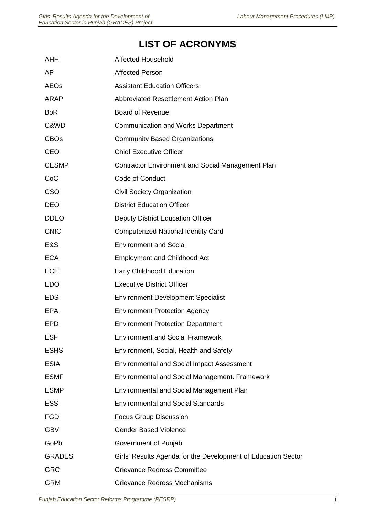# **LIST OF ACRONYMS**

| <b>AHH</b>    | <b>Affected Household</b>                                     |
|---------------|---------------------------------------------------------------|
| AP            | <b>Affected Person</b>                                        |
| <b>AEOs</b>   | <b>Assistant Education Officers</b>                           |
| <b>ARAP</b>   | <b>Abbreviated Resettlement Action Plan</b>                   |
| <b>BoR</b>    | <b>Board of Revenue</b>                                       |
| C&WD          | <b>Communication and Works Department</b>                     |
| <b>CBOs</b>   | <b>Community Based Organizations</b>                          |
| <b>CEO</b>    | <b>Chief Executive Officer</b>                                |
| <b>CESMP</b>  | <b>Contractor Environment and Social Management Plan</b>      |
| CoC           | Code of Conduct                                               |
| <b>CSO</b>    | <b>Civil Society Organization</b>                             |
| <b>DEO</b>    | <b>District Education Officer</b>                             |
| <b>DDEO</b>   | <b>Deputy District Education Officer</b>                      |
| <b>CNIC</b>   | <b>Computerized National Identity Card</b>                    |
| E&S           | <b>Environment and Social</b>                                 |
| <b>ECA</b>    | <b>Employment and Childhood Act</b>                           |
| <b>ECE</b>    | <b>Early Childhood Education</b>                              |
| <b>EDO</b>    | <b>Executive District Officer</b>                             |
| <b>EDS</b>    | <b>Environment Development Specialist</b>                     |
| <b>EPA</b>    | <b>Environment Protection Agency</b>                          |
| <b>EPD</b>    | <b>Environment Protection Department</b>                      |
| <b>ESF</b>    | <b>Environment and Social Framework</b>                       |
| <b>ESHS</b>   | Environment, Social, Health and Safety                        |
| <b>ESIA</b>   | <b>Environmental and Social Impact Assessment</b>             |
| <b>ESMF</b>   | Environmental and Social Management. Framework                |
| <b>ESMP</b>   | <b>Environmental and Social Management Plan</b>               |
| <b>ESS</b>    | <b>Environmental and Social Standards</b>                     |
| <b>FGD</b>    | <b>Focus Group Discussion</b>                                 |
| <b>GBV</b>    | <b>Gender Based Violence</b>                                  |
| GoPb          | Government of Punjab                                          |
| <b>GRADES</b> | Girls' Results Agenda for the Development of Education Sector |
| <b>GRC</b>    | <b>Grievance Redress Committee</b>                            |
| <b>GRM</b>    | <b>Grievance Redress Mechanisms</b>                           |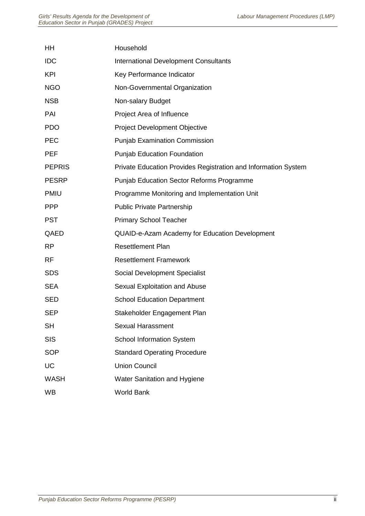| HH            | Household                                                      |
|---------------|----------------------------------------------------------------|
| <b>IDC</b>    | <b>International Development Consultants</b>                   |
| <b>KPI</b>    | Key Performance Indicator                                      |
| <b>NGO</b>    | Non-Governmental Organization                                  |
| <b>NSB</b>    | Non-salary Budget                                              |
| PAI           | Project Area of Influence                                      |
| <b>PDO</b>    | <b>Project Development Objective</b>                           |
| <b>PEC</b>    | <b>Punjab Examination Commission</b>                           |
| <b>PEF</b>    | <b>Punjab Education Foundation</b>                             |
| <b>PEPRIS</b> | Private Education Provides Registration and Information System |
| <b>PESRP</b>  | <b>Punjab Education Sector Reforms Programme</b>               |
| <b>PMIU</b>   | Programme Monitoring and Implementation Unit                   |
| <b>PPP</b>    | <b>Public Private Partnership</b>                              |
| <b>PST</b>    | <b>Primary School Teacher</b>                                  |
| QAED          | QUAID-e-Azam Academy for Education Development                 |
| <b>RP</b>     | <b>Resettlement Plan</b>                                       |
| <b>RF</b>     | <b>Resettlement Framework</b>                                  |
| <b>SDS</b>    | Social Development Specialist                                  |
| <b>SEA</b>    | Sexual Exploitation and Abuse                                  |
| <b>SED</b>    | <b>School Education Department</b>                             |
| <b>SEP</b>    | Stakeholder Engagement Plan                                    |
| <b>SH</b>     | <b>Sexual Harassment</b>                                       |
| <b>SIS</b>    | School Information System                                      |
| <b>SOP</b>    | <b>Standard Operating Procedure</b>                            |
| <b>UC</b>     | <b>Union Council</b>                                           |
| <b>WASH</b>   | Water Sanitation and Hygiene                                   |
| <b>WB</b>     | World Bank                                                     |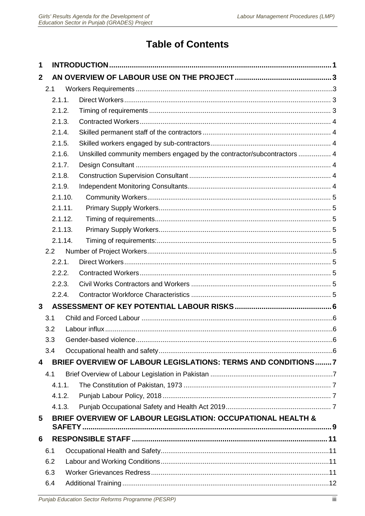# **Table of Contents**

| 1              |     |         |                                                                         |  |
|----------------|-----|---------|-------------------------------------------------------------------------|--|
| $\mathbf{2}$   |     |         |                                                                         |  |
|                | 2.1 |         |                                                                         |  |
|                |     | 2.1.1.  |                                                                         |  |
|                |     | 2.1.2.  |                                                                         |  |
|                |     | 2.1.3.  |                                                                         |  |
|                |     | 2.1.4.  |                                                                         |  |
|                |     | 2.1.5.  |                                                                         |  |
|                |     | 2.1.6.  | Unskilled community members engaged by the contractor/subcontractors  4 |  |
|                |     | 2.1.7.  |                                                                         |  |
|                |     | 2.1.8.  |                                                                         |  |
|                |     | 2.1.9.  |                                                                         |  |
|                |     | 2.1.10. |                                                                         |  |
|                |     | 2.1.11. |                                                                         |  |
|                |     | 2.1.12. |                                                                         |  |
|                |     | 2.1.13. |                                                                         |  |
|                |     | 2.1.14. |                                                                         |  |
|                |     | 2.2     |                                                                         |  |
|                |     | 2.2.1.  |                                                                         |  |
|                |     | 2.2.2.  |                                                                         |  |
|                |     | 2.2.3.  |                                                                         |  |
|                |     | 2.2.4.  |                                                                         |  |
| $\overline{3}$ |     |         |                                                                         |  |
|                | 3.1 |         |                                                                         |  |
|                |     | 3.2     |                                                                         |  |
|                |     | 3.3     |                                                                         |  |
|                |     | 3.4     |                                                                         |  |
| 4              |     |         | BRIEF OVERVIEW OF LABOUR LEGISLATIONS: TERMS AND CONDITIONS7            |  |
|                | 4.1 |         |                                                                         |  |
|                |     | 4.1.1.  |                                                                         |  |
|                |     | 4.1.2.  |                                                                         |  |
|                |     | 4.1.3.  |                                                                         |  |
| 5              |     |         | BRIEF OVERVIEW OF LABOUR LEGISLATION: OCCUPATIONAL HEALTH &             |  |
|                |     |         |                                                                         |  |
| 6              |     |         |                                                                         |  |
|                | 6.1 |         |                                                                         |  |
|                |     | 6.2     |                                                                         |  |
|                |     | 6.3     |                                                                         |  |
|                |     | 6.4     |                                                                         |  |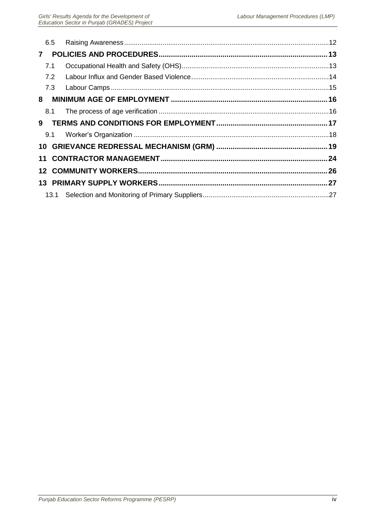| 6.5 |  |
|-----|--|
|     |  |
| 7.1 |  |
| 7.2 |  |
| 7.3 |  |
|     |  |
| 8.1 |  |
|     |  |
| 9.1 |  |
|     |  |
|     |  |
|     |  |
|     |  |
|     |  |
|     |  |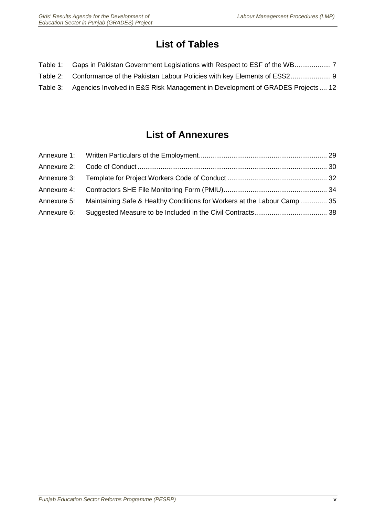# **List of Tables**

| Table 1: Gaps in Pakistan Government Legislations with Respect to ESF of the WB        |
|----------------------------------------------------------------------------------------|
| Table 2: Conformance of the Pakistan Labour Policies with key Elements of ESS2 9       |
| Table 3: Agencies Involved in E&S Risk Management in Development of GRADES Projects 12 |

# **List of Annexures**

| Annexure 5: Maintaining Safe & Healthy Conditions for Workers at the Labour Camp  35 |  |
|--------------------------------------------------------------------------------------|--|
|                                                                                      |  |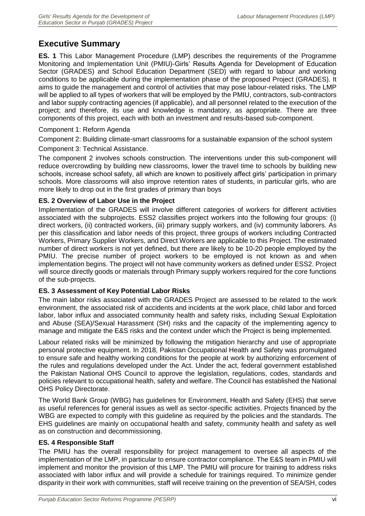# **Executive Summary**

**ES. 1** This Labor Management Procedure (LMP) describes the requirements of the Programme Monitoring and Implementation Unit (PMIU)-Girls' Results Agenda for Development of Education Sector (GRADES) and School Education Department (SED) with regard to labour and working conditions to be applicable during the implementation phase of the proposed Project (GRADES). It aims to guide the management and control of activities that may pose labour-related risks. The LMP will be applied to all types of workers that will be employed by the PMIU, contractors, sub-contractors and labor supply contracting agencies (if applicable), and all personnel related to the execution of the project; and therefore, its use and knowledge is mandatory, as appropriate. There are three components of this project, each with both an investment and results-based sub-component.

# Component 1: Reform Agenda

Component 2: Building climate-smart classrooms for a sustainable expansion of the school system Component 3: Technical Assistance.

The component 2 involves schools construction. The interventions under this sub-component will reduce overcrowding by building new classrooms, lower the travel time to schools by building new schools, increase school safety, all which are known to positively affect girls' participation in primary schools. More classrooms will also improve retention rates of students, in particular girls, who are more likely to drop out in the first grades of primary than boys

# **ES. 2 Overview of Labor Use in the Project**

Implementation of the GRADES will involve different categories of workers for different activities associated with the subprojects. ESS2 classifies project workers into the following four groups: (i) direct workers, (ii) contracted workers, (iii) primary supply workers, and (iv) community laborers. As per this classification and labor needs of this project, three groups of workers including Contracted Workers, Primary Supplier Workers, and Direct Workers are applicable to this Project. The estimated number of direct workers is not yet defined, but there are likely to be 10-20 people employed by the PMIU. The precise number of project workers to be employed is not known as and when implementation begins. The project will not have community workers as defined under ESS2. Project will source directly goods or materials through Primary supply workers required for the core functions of the sub-projects.

# **ES. 3 Assessment of Key Potential Labor Risks**

The main labor risks associated with the GRADES Project are assessed to be related to the work environment, the associated risk of accidents and incidents at the work place, child labor and forced labor, labor influx and associated community health and safety risks, including Sexual Exploitation and Abuse (SEA)/Sexual Harassment (SH) risks and the capacity of the implementing agency to manage and mitigate the E&S risks and the context under which the Project is being implemented.

Labour related risks will be minimized by following the mitigation hierarchy and use of appropriate personal protective equipment. In 2018, Pakistan Occupational Health and Safety was promulgated to ensure safe and healthy working conditions for the people at work by authorizing enforcement of the rules and regulations developed under the Act. Under the act, federal government established the Pakistan National OHS Council to approve the legislation, regulations, codes, standards and policies relevant to occupational health, safety and welfare. The Council has established the National OHS Policy Directorate.

The World Bank Group (WBG) has guidelines for Environment, Health and Safety (EHS) that serve as useful references for general issues as well as sector-specific activities. Projects financed by the WBG are expected to comply with this guideline as required by the policies and the standards. The EHS guidelines are mainly on occupational health and safety, community health and safety as well as on construction and decommissioning.

# **ES. 4 Responsible Staff**

The PMIU has the overall responsibility for project management to oversee all aspects of the implementation of the LMP, in particular to ensure contractor compliance. The E&S team in PMIU will implement and monitor the provision of this LMP. The PMIU will procure for training to address risks associated with labor influx and will provide a schedule for trainings required. To minimize gender disparity in their work with communities, staff will receive training on the prevention of SEA/SH, codes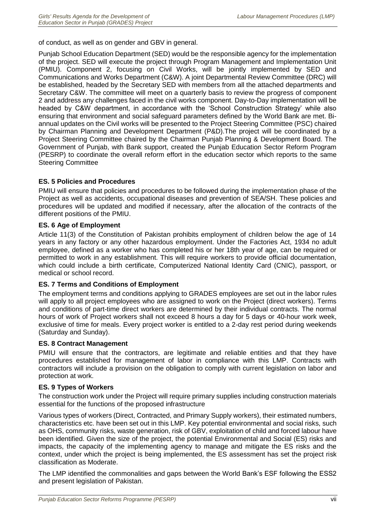of conduct, as well as on gender and GBV in general.

Punjab School Education Department (SED) would be the responsible agency for the implementation of the project. SED will execute the project through Program Management and Implementation Unit (PMIU). Component 2, focusing on Civil Works, will be jointly implemented by SED and Communications and Works Department (C&W). A joint Departmental Review Committee (DRC) will be established, headed by the Secretary SED with members from all the attached departments and Secretary C&W. The committee will meet on a quarterly basis to review the progress of component 2 and address any challenges faced in the civil works component. Day-to-Day implementation will be headed by C&W department, in accordance with the 'School Construction Strategy' while also ensuring that environment and social safeguard parameters defined by the World Bank are met. Biannual updates on the Civil works will be presented to the Project Steering Committee (PSC) chaired by Chairman Planning and Development Department (P&D).The project will be coordinated by a Project Steering Committee chaired by the Chairman Punjab Planning & Development Board. The Government of Punjab, with Bank support, created the Punjab Education Sector Reform Program (PESRP) to coordinate the overall reform effort in the education sector which reports to the same Steering Committee

# **ES. 5 Policies and Procedures**

PMIU will ensure that policies and procedures to be followed during the implementation phase of the Project as well as accidents, occupational diseases and prevention of SEA/SH. These policies and procedures will be updated and modified if necessary, after the allocation of the contracts of the different positions of the PMIU.

# **ES. 6 Age of Employment**

Article 11(3) of the Constitution of Pakistan prohibits employment of children below the age of 14 years in any factory or any other hazardous employment. Under the Factories Act, 1934 no adult employee, defined as a worker who has completed his or her 18th year of age, can be required or permitted to work in any establishment. This will require workers to provide official documentation, which could include a birth certificate, Computerized National Identity Card (CNIC), passport, or medical or school record.

# **ES. 7 Terms and Conditions of Employment**

The employment terms and conditions applying to GRADES employees are set out in the labor rules will apply to all project employees who are assigned to work on the Project (direct workers). Terms and conditions of part-time direct workers are determined by their individual contracts. The normal hours of work of Project workers shall not exceed 8 hours a day for 5 days or 40-hour work week, exclusive of time for meals. Every project worker is entitled to a 2-day rest period during weekends (Saturday and Sunday).

#### **ES. 8 Contract Management**

PMIU will ensure that the contractors, are legitimate and reliable entities and that they have procedures established for management of labor in compliance with this LMP. Contracts with contractors will include a provision on the obligation to comply with current legislation on labor and protection at work.

# **ES. 9 Types of Workers**

The construction work under the Project will require primary supplies including construction materials essential for the functions of the proposed infrastructure

Various types of workers (Direct, Contracted, and Primary Supply workers), their estimated numbers, characteristics etc. have been set out in this LMP. Key potential environmental and social risks, such as OHS, community risks, waste generation, risk of GBV, exploitation of child and forced labour have been identified. Given the size of the project, the potential Environmental and Social (ES) risks and impacts, the capacity of the implementing agency to manage and mitigate the ES risks and the context, under which the project is being implemented, the ES assessment has set the project risk classification as Moderate.

The LMP identified the commonalities and gaps between the World Bank's ESF following the ESS2 and present legislation of Pakistan.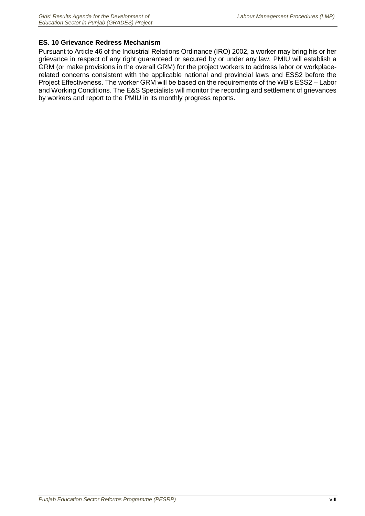# **ES. 10 Grievance Redress Mechanism**

Pursuant to Article 46 of the Industrial Relations Ordinance (IRO) 2002, a worker may bring his or her grievance in respect of any right guaranteed or secured by or under any law. PMIU will establish a GRM (or make provisions in the overall GRM) for the project workers to address labor or workplacerelated concerns consistent with the applicable national and provincial laws and ESS2 before the Project Effectiveness. The worker GRM will be based on the requirements of the WB's ESS2 – Labor and Working Conditions. The E&S Specialists will monitor the recording and settlement of grievances by workers and report to the PMIU in its monthly progress reports.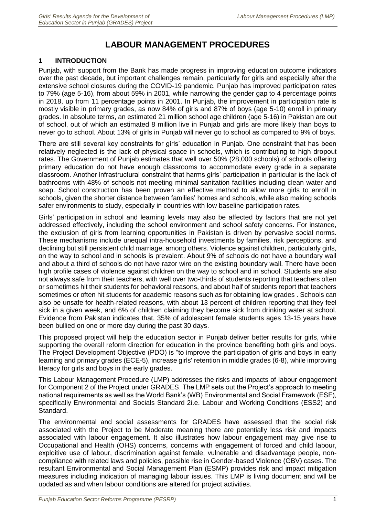# **LABOUR MANAGEMENT PROCEDURES**

# <span id="page-12-0"></span>**1 INTRODUCTION**

Punjab, with support from the Bank has made progress in improving education outcome indicators over the past decade, but important challenges remain, particularly for girls and especially after the extensive school closures during the COVID-19 pandemic. Punjab has improved participation rates to 79% (age 5-16), from about 59% in 2001, while narrowing the gender gap to 4 percentage points in 2018, up from 11 percentage points in 2001. In Punjab, the improvement in participation rate is mostly visible in primary grades, as now 84% of girls and 87% of boys (age 5-10) enroll in primary grades. In absolute terms, an estimated 21 million school age children (age 5-16) in Pakistan are out of school, out of which an estimated 8 million live in Punjab and girls are more likely than boys to never go to school. About 13% of girls in Punjab will never go to school as compared to 9% of boys.

There are still several key constraints for girls' education in Punjab. One constraint that has been relatively neglected is the lack of physical space in schools, which is contributing to high dropout rates. The Government of Punjab estimates that well over 50% (28,000 schools) of schools offering primary education do not have enough classrooms to accommodate every grade in a separate classroom. Another infrastructural constraint that harms girls' participation in particular is the lack of bathrooms with 48% of schools not meeting minimal sanitation facilities including clean water and soap. School construction has been proven an effective method to allow more girls to enroll in schools, given the shorter distance between families' homes and schools, while also making schools safer environments to study, especially in countries with low baseline participation rates.

Girls' participation in school and learning levels may also be affected by factors that are not yet addressed effectively, including the school environment and school safety concerns. For instance, the exclusion of girls from learning opportunities in Pakistan is driven by pervasive social norms. These mechanisms include unequal intra-household investments by families, risk perceptions, and declining but still persistent child marriage, among others. Violence against children, particularly girls, on the way to school and in schools is prevalent. About 9% of schools do not have a boundary wall and about a third of schools do not have razor wire on the existing boundary wall. There have been high profile cases of violence against children on the way to school and in school. Students are also not always safe from their teachers, with well over two-thirds of students reporting that teachers often or sometimes hit their students for behavioral reasons, and about half of students report that teachers sometimes or often hit students for academic reasons such as for obtaining low grades . Schools can also be unsafe for health-related reasons, with about 13 percent of children reporting that they feel sick in a given week, and 6% of children claiming they become sick from drinking water at school. Evidence from Pakistan indicates that, 35% of adolescent female students ages 13-15 years have been bullied on one or more day during the past 30 days.

This proposed project will help the education sector in Punjab deliver better results for girls, while supporting the overall reform direction for education in the province benefiting both girls and boys. The Project Development Objective (PDO) is "to improve the participation of girls and boys in early learning and primary grades (ECE-5), increase girls' retention in middle grades (6-8), while improving literacy for girls and boys in the early grades.

This Labour Management Procedure (LMP) addresses the risks and impacts of labour engagement for Component 2 of the Project under GRADES. The LMP sets out the Project's approach to meeting national requirements as well as the World Bank's (WB) Environmental and Social Framework (ESF), specifically Environmental and Socials Standard 2i.e. Labour and Working Conditions (ESS2) and Standard.

The environmental and social assessments for GRADES have assessed that the social risk associated with the Project to be Moderate meaning there are potentially less risk and impacts associated with labour engagement. It also illustrates how labour engagement may give rise to Occupational and Health (OHS) concerns, concerns with engagement of forced and child labour, exploitive use of labour, discrimination against female, vulnerable and disadvantage people, noncompliance with related laws and policies, possible rise in Gender-based Violence (GBV) cases. The resultant Environmental and Social Management Plan (ESMP) provides risk and impact mitigation measures including indication of managing labour issues. This LMP is living document and will be updated as and when labour conditions are altered for project activities.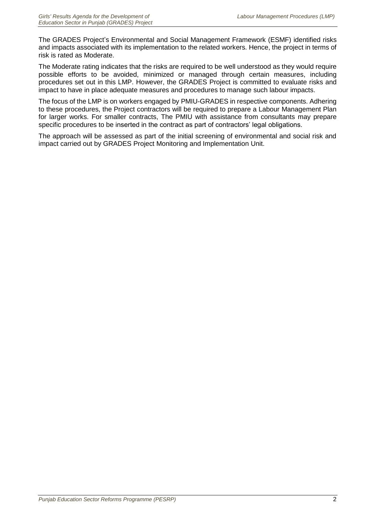The GRADES Project's Environmental and Social Management Framework (ESMF) identified risks and impacts associated with its implementation to the related workers. Hence, the project in terms of risk is rated as Moderate.

The Moderate rating indicates that the risks are required to be well understood as they would require possible efforts to be avoided, minimized or managed through certain measures, including procedures set out in this LMP. However, the GRADES Project is committed to evaluate risks and impact to have in place adequate measures and procedures to manage such labour impacts.

The focus of the LMP is on workers engaged by PMIU-GRADES in respective components. Adhering to these procedures, the Project contractors will be required to prepare a Labour Management Plan for larger works. For smaller contracts, The PMIU with assistance from consultants may prepare specific procedures to be inserted in the contract as part of contractors' legal obligations.

The approach will be assessed as part of the initial screening of environmental and social risk and impact carried out by GRADES Project Monitoring and Implementation Unit.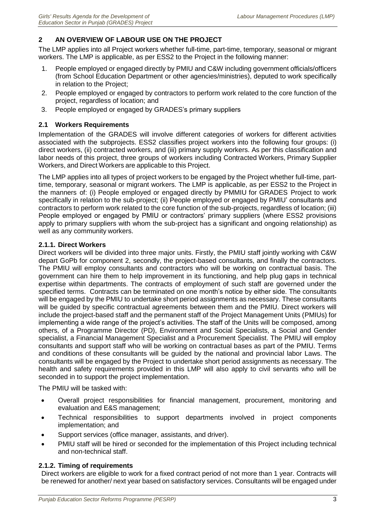# <span id="page-14-0"></span>**2 AN OVERVIEW OF LABOUR USE ON THE PROJECT**

The LMP applies into all Project workers whether full-time, part-time, temporary, seasonal or migrant workers. The LMP is applicable, as per ESS2 to the Project in the following manner:

- 1. People employed or engaged directly by PMIU and C&W including government officials/officers (from School Education Department or other agencies/ministries), deputed to work specifically in relation to the Project;
- 2. People employed or engaged by contractors to perform work related to the core function of the project, regardless of location; and
- 3. People employed or engaged by GRADES's primary suppliers

# <span id="page-14-1"></span>**2.1 Workers Requirements**

Implementation of the GRADES will involve different categories of workers for different activities associated with the subprojects. ESS2 classifies project workers into the following four groups: (i) direct workers, (ii) contracted workers, and (iii) primary supply workers. As per this classification and labor needs of this project, three groups of workers including Contracted Workers, Primary Supplier Workers, and Direct Workers are applicable to this Project.

The LMP applies into all types of project workers to be engaged by the Project whether full-time, parttime, temporary, seasonal or migrant workers. The LMP is applicable, as per ESS2 to the Project in the manners of: (i) People employed or engaged directly by PMMIU for GRADES Project to work specifically in relation to the sub-project; (ii) People employed or engaged by PMIU' consultants and contractors to perform work related to the core function of the sub-projects, regardless of location; (iii) People employed or engaged by PMIU or contractors' primary suppliers (where ESS2 provisions apply to primary suppliers with whom the sub-project has a significant and ongoing relationship) as well as any community workers.

# <span id="page-14-2"></span>**2.1.1. Direct Workers**

Direct workers will be divided into three major units. Firstly, the PMIU staff jointly working with C&W depart GoPb for component 2, secondly, the project-based consultants, and finally the contractors. The PMIU will employ consultants and contractors who will be working on contractual basis. The government can hire them to help improvement in its functioning, and help plug gaps in technical expertise within departments. The contracts of employment of such staff are governed under the specified terms. Contracts can be terminated on one month's notice by either side. The consultants will be engaged by the PMIU to undertake short period assignments as necessary. These consultants will be guided by specific contractual agreements between them and the PMIU. Direct workers will include the project-based staff and the permanent staff of the Project Management Units (PMIUs) for implementing a wide range of the project's activities. The staff of the Units will be composed, among others, of a Programme Director (PD), Environment and Social Specialists, a Social and Gender specialist, a Financial Management Specialist and a Procurement Specialist. The PMIU will employ consultants and support staff who will be working on contractual bases as part of the PMIU. Terms and conditions of these consultants will be guided by the national and provincial labor Laws. The consultants will be engaged by the Project to undertake short period assignments as necessary. The health and safety requirements provided in this LMP will also apply to civil servants who will be seconded in to support the project implementation.

The PMIU will be tasked with:

- Overall project responsibilities for financial management, procurement, monitoring and evaluation and E&S management;
- Technical responsibilities to support departments involved in project components implementation; and
- Support services (office manager, assistants, and driver).
- PMIU staff will be hired or seconded for the implementation of this Project including technical and non-technical staff.

# <span id="page-14-3"></span>**2.1.2. Timing of requirements**

Direct workers are eligible to work for a fixed contract period of not more than 1 year. Contracts will be renewed for another/ next year based on satisfactory services. Consultants will be engaged under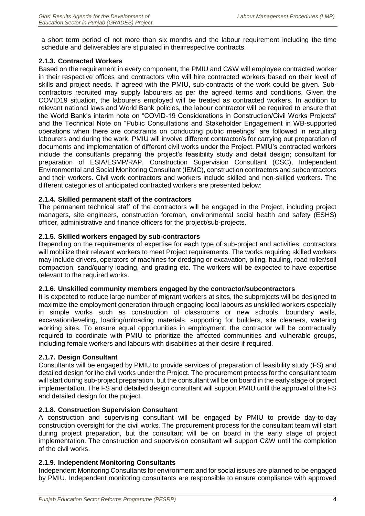a short term period of not more than six months and the labour requirement including the time schedule and deliverables are stipulated in theirrespective contracts.

#### <span id="page-15-0"></span>**2.1.3. Contracted Workers**

Based on the requirement in every component, the PMIU and C&W will employee contracted worker in their respective offices and contractors who will hire contracted workers based on their level of skills and project needs. If agreed with the PMIU, sub-contracts of the work could be given. Subcontractors recruited may supply labourers as per the agreed terms and conditions. Given the COVID19 situation, the labourers employed will be treated as contracted workers. In addition to relevant national laws and World Bank policies, the labour contractor will be required to ensure that the World Bank's interim note on "COVID-19 Considerations in Construction/Civil Works Projects" and the Technical Note on "Public Consultations and Stakeholder Engagement in WB-supported operations when there are constraints on conducting public meetings" are followed in recruiting labourers and during the work. PMIU will involve different contractor/s for carrying out preparation of documents and implementation of different civil works under the Project. PMIU's contracted workers include the consultants preparing the project's feasibility study and detail design; consultant for preparation of ESIA/ESMP/RAP, Construction Supervision Consultant (CSC), Independent Environmental and Social Monitoring Consultant (IEMC), construction contractors and subcontractors and their workers. Civil work contractors and workers include skilled and non-skilled workers. The different categories of anticipated contracted workers are presented below:

#### <span id="page-15-1"></span>**2.1.4. Skilled permanent staff of the contractors**

The permanent technical staff of the contractors will be engaged in the Project, including project managers, site engineers, construction foreman, environmental social health and safety (ESHS) officer, administrative and finance officers for the project/sub-projects.

#### <span id="page-15-2"></span>**2.1.5. Skilled workers engaged by sub-contractors**

Depending on the requirements of expertise for each type of sub-project and activities, contractors will mobilize their relevant workers to meet Project requirements. The works requiring skilled workers may include drivers, operators of machines for dredging or excavation, piling, hauling, road roller/soil compaction, sand/quarry loading, and grading etc. The workers will be expected to have expertise relevant to the required works.

#### <span id="page-15-3"></span>**2.1.6. Unskilled community members engaged by the contractor/subcontractors**

It is expected to reduce large number of migrant workers at sites, the subprojects will be designed to maximize the employment generation through engaging local labours as unskilled workers especially in simple works such as construction of classrooms or new schools, boundary walls, excavation/leveling, loading/unloading materials, supporting for builders, site cleaners, watering working sites. To ensure equal opportunities in employment, the contractor will be contractually required to coordinate with PMIU to prioritize the affected communities and vulnerable groups, including female workers and labours with disabilities at their desire if required.

# <span id="page-15-4"></span>**2.1.7. Design Consultant**

Consultants will be engaged by PMIU to provide services of preparation of feasibility study (FS) and detailed design for the civil works under the Project. The procurement process for the consultant team will start during sub-project preparation, but the consultant will be on board in the early stage of project implementation. The FS and detailed design consultant will support PMIU until the approval of the FS and detailed design for the project.

# <span id="page-15-5"></span>**2.1.8. Construction Supervision Consultant**

A construction and supervising consultant will be engaged by PMIU to provide day-to-day construction oversight for the civil works. The procurement process for the consultant team will start during project preparation, but the consultant will be on board in the early stage of project implementation. The construction and supervision consultant will support C&W until the completion of the civil works.

# <span id="page-15-6"></span>**2.1.9. Independent Monitoring Consultants**

Independent Monitoring Consultants for environment and for social issues are planned to be engaged by PMIU. Independent monitoring consultants are responsible to ensure compliance with approved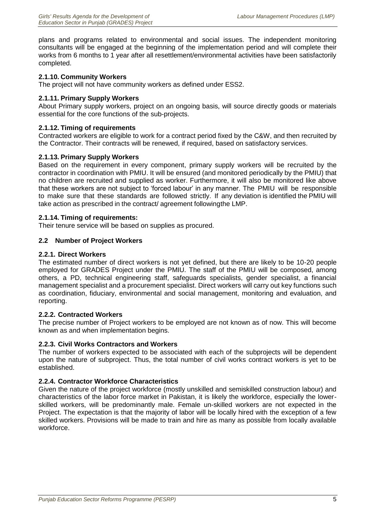plans and programs related to environmental and social issues. The independent monitoring consultants will be engaged at the beginning of the implementation period and will complete their works from 6 months to 1 year after all resettlement/environmental activities have been satisfactorily completed.

#### <span id="page-16-0"></span>**2.1.10. Community Workers**

The project will not have community workers as defined under ESS2.

#### <span id="page-16-1"></span>**2.1.11. Primary Supply Workers**

About Primary supply workers, project on an ongoing basis, will source directly goods or materials essential for the core functions of the sub-projects.

#### <span id="page-16-2"></span>**2.1.12. Timing of requirements**

Contracted workers are eligible to work for a contract period fixed by the C&W, and then recruited by the Contractor. Their contracts will be renewed, if required, based on satisfactory services.

#### <span id="page-16-3"></span>**2.1.13. Primary Supply Workers**

Based on the requirement in every component, primary supply workers will be recruited by the contractor in coordination with PMIU. It will be ensured (and monitored periodically by the PMIU) that no children are recruited and supplied as worker. Furthermore, it will also be monitored like above that these workers are not subject to 'forced labour' in any manner. The PMIU will be responsible to make sure that these standards are followed strictly. If any deviation is identified the PMIU will take action as prescribed in the contract/ agreement followingthe LMP.

#### <span id="page-16-4"></span>**2.1.14. Timing of requirements:**

Their tenure service will be based on supplies as procured.

#### <span id="page-16-5"></span>**2.2 Number of Project Workers**

#### <span id="page-16-6"></span>**2.2.1. Direct Workers**

The estimated number of direct workers is not yet defined, but there are likely to be 10-20 people employed for GRADES Project under the PMIU. The staff of the PMIU will be composed, among others, a PD, technical engineering staff, safeguards specialists, gender specialist, a financial management specialist and a procurement specialist. Direct workers will carry out key functions such as coordination, fiduciary, environmental and social management, monitoring and evaluation, and reporting.

#### <span id="page-16-7"></span>**2.2.2. Contracted Workers**

The precise number of Project workers to be employed are not known as of now. This will become known as and when implementation begins.

#### <span id="page-16-8"></span>**2.2.3. Civil Works Contractors and Workers**

The number of workers expected to be associated with each of the subprojects will be dependent upon the nature of subproject. Thus, the total number of civil works contract workers is yet to be established.

#### <span id="page-16-9"></span>**2.2.4. Contractor Workforce Characteristics**

Given the nature of the project workforce (mostly unskilled and semiskilled construction labour) and characteristics of the labor force market in Pakistan, it is likely the workforce, especially the lowerskilled workers, will be predominantly male. Female un-skilled workers are not expected in the Project. The expectation is that the majority of labor will be locally hired with the exception of a few skilled workers. Provisions will be made to train and hire as many as possible from locally available workforce.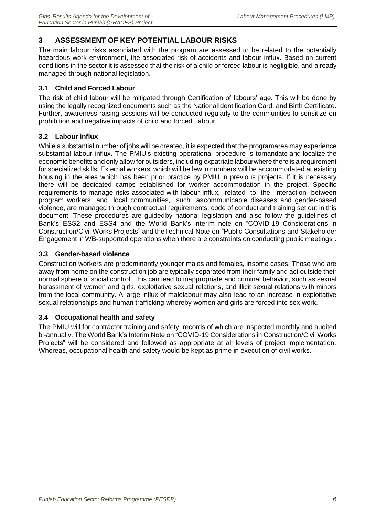# <span id="page-17-0"></span>**3 ASSESSMENT OF KEY POTENTIAL LABOUR RISKS**

The main labour risks associated with the program are assessed to be related to the potentially hazardous work environment, the associated risk of accidents and labour influx. Based on current conditions in the sector it is assessed that the risk of a child or forced labour is negligible, and already managed through national legislation.

# <span id="page-17-1"></span>**3.1 Child and Forced Labour**

The risk of child labour will be mitigated through Certification of labours' age. This will be done by using the legally recognized documents such as the NationalIdentification Card, and Birth Certificate. Further, awareness raising sessions will be conducted regularly to the communities to sensitize on prohibition and negative impacts of child and forced Labour.

# <span id="page-17-2"></span>**3.2 Labour influx**

While a substantial number of jobs will be created, it is expected that the programarea may experience substantial labour influx. The PMIU's existing operational procedure is tomandate and localize the economic benefits and only allow for outsiders, including expatriate labour where there is a requirement for specialized skills. External workers, which will be few in numbers,will be accommodated at existing housing in the area which has been prior practice by PMIU in previous projects. If it is necessary there will be dedicated camps established for worker accommodation in the project. Specific requirements to manage risks associated with labour influx, related to the interaction between program workers and local communities, such ascommunicable diseases and gender-based violence, are managed through contractual requirements, code of conduct and training set out in this document. These procedures are guidedby national legislation and also follow the guidelines of Bank's ESS2 and ESS4 and the World Bank's interim note on "COVID-19 Considerations in Construction/Civil Works Projects" and theTechnical Note on "Public Consultations and Stakeholder Engagement in WB-supported operations when there are constraints on conducting public meetings".

# <span id="page-17-3"></span>**3.3 Gender-based violence**

Construction workers are predominantly younger males and females, insome cases. Those who are away from home on the construction job are typically separated from their family and act outside their normal sphere of social control. This can lead to inappropriate and criminal behavior, such as sexual harassment of women and girls, exploitative sexual relations, and illicit sexual relations with minors from the local community. A large influx of malelabour may also lead to an increase in exploitative sexual relationships and human trafficking whereby women and girls are forced into sex work.

# <span id="page-17-4"></span>**3.4 Occupational health and safety**

The PMIU will for contractor training and safety, records of which are inspected monthly and audited bi-annually. The World Bank's Interim Note on "COVID-19 Considerations in Construction/Civil Works Projects" will be considered and followed as appropriate at all levels of project implementation. Whereas, occupational health and safety would be kept as prime in execution of civil works.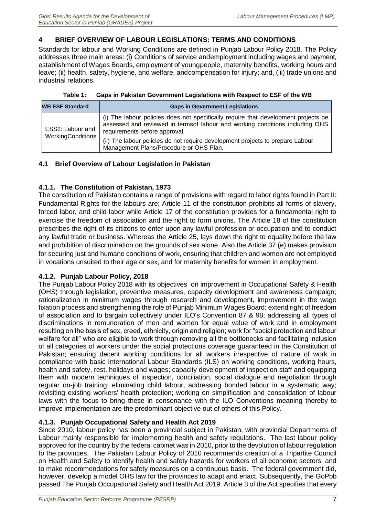# <span id="page-18-0"></span>**4 BRIEF OVERVIEW OF LABOUR LEGISLATIONS: TERMS AND CONDITIONS**

Standards for labour and Working Conditions are defined in Punjab Labour Policy 2018. The Policy addresses three main areas: (i) Conditions of service andemployment including wages and payment, establishment of Wages Boards, employment of youngpeople, maternity benefits, working hours and leave; (ii) health, safety, hygiene, and welfare, andcompensation for injury; and, (iii) trade unions and industrial relations.

| Table 1: Gaps in Pakistan Government Legislations with Respect to ESF of the WB |
|---------------------------------------------------------------------------------|
|                                                                                 |

<span id="page-18-5"></span>

| <b>WB ESF Standard</b> | <b>Gaps in Government Legislations</b>                                                                                                                                                              |
|------------------------|-----------------------------------------------------------------------------------------------------------------------------------------------------------------------------------------------------|
| ESS2: Labour and       | (i) The labour policies does not specifically require that development projects be<br>assessed and reviewed in termsof labour and working conditions including OHS<br>requirements before approval. |
| WorkingConditions      | (ii) The labour policies do not require development projects to prepare Labour<br>Management Plans/Procedure or OHS Plan.                                                                           |

# <span id="page-18-1"></span>**4.1 Brief Overview of Labour Legislation in Pakistan**

# <span id="page-18-2"></span>**4.1.1. The Constitution of Pakistan, 1973**

The constitution of Pakistan contains a range of provisions with regard to labor rights found in Part II: Fundamental Rights for the labours are; Article 11 of the constitution prohibits all forms of slavery, forced labor, and child labor while Article 17 of the constitution provides for a fundamental right to exercise the freedom of association and the right to form unions. The Article 18 of the constitution prescribes the right of its citizens to enter upon any lawful profession or occupation and to conduct any lawful trade or business. Whereas the Article 25, lays down the right to equality before the law and prohibition of discrimination on the grounds of sex alone. Also the Article 37 (e) makes provision for securing just and humane conditions of work, ensuring that children and women are not employed in vocations unsuited to their age or sex, and for maternity benefits for women in employment.

# <span id="page-18-3"></span>**4.1.2. Punjab Labour Policy, 2018**

The Punjab Labour Policy 2018 with its objectives on improvement in Occupational Safety & Health (OHS) through legislation, preventive measures, capacity development and awareness campaign; rationalization in minimum wages through research and development, improvement in the wage fixation process and strengthening the role of Punjab Minimum Wages Board; extend right of freedom of association and to bargain collectively under ILO's Convention 87 & 98; addressing all types of discriminations in remuneration of men and women for equal value of work and in employment resulting on the basis of sex, creed, ethnicity, origin and religion; work for "social protection and labour welfare for all" who are eligible to work through removing all the bottlenecks and facilitating inclusion of all categories of workers under the social protections coverage guaranteed in the Constitution of Pakistan; ensuring decent working conditions for all workers irrespective of nature of work in compliance with basic International Labour Standards (ILS) on working conditions, working hours, health and safety, rest, holidays and wages; capacity development of inspection staff and equipping them with modern techniques of inspection, conciliation, social dialogue and negotiation through regular on-job training; eliminating child labour, addressing bonded labour in a systematic way; revisiting existing workers' health protection; working on simplification and consolidation of labour laws with the focus to bring these in consonance with the ILO Conventions meaning thereby to improve implementation are the predominant objective out of others of this Policy.

# <span id="page-18-4"></span>**4.1.3. Punjab Occupational Safety and Health Act 2019**

Since 2010, labour policy has been a provincial subject in Pakistan, with provincial Departments of Labour mainly responsible for implementing health and safety regulations. The last labour policy approved for the country by the federal cabinet was in 2010, prior to the devolution of labour regulation to the provinces. The Pakistan Labour Policy of 2010 recommends creation of a Tripartite Council on Health and Safety to identify health and safety hazards for workers of all economic sectors, and to make recommendations for safety measures on a continuous basis. The federal government did, however, develop a model OHS law for the provinces to adapt and enact. Subsequently, the GoPbb passed The Punjab Occupational Safety and Health Act 2019. Article 3 of the Act specifies that every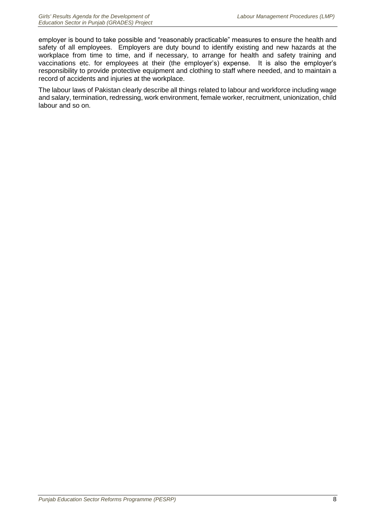employer is bound to take possible and "reasonably practicable" measures to ensure the health and safety of all employees. Employers are duty bound to identify existing and new hazards at the workplace from time to time, and if necessary, to arrange for health and safety training and vaccinations etc. for employees at their (the employer's) expense. It is also the employer's responsibility to provide protective equipment and clothing to staff where needed, and to maintain a record of accidents and injuries at the workplace.

The labour laws of Pakistan clearly describe all things related to labour and workforce including wage and salary, termination, redressing, work environment, female worker, recruitment, unionization, child labour and so on.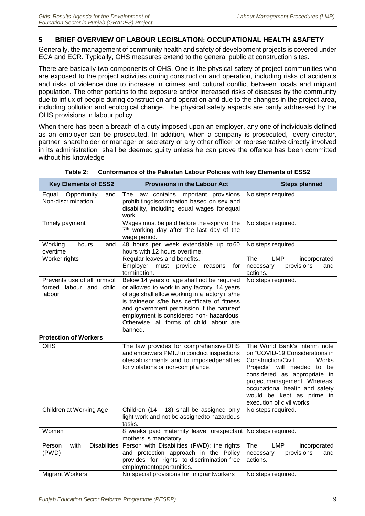# <span id="page-20-0"></span>**5 BRIEF OVERVIEW OF LABOUR LEGISLATION: OCCUPATIONAL HEALTH &SAFETY**

Generally, the management of community health and safety of development projects is covered under ECA and ECR. Typically, OHS measures extend to the general public at construction sites.

There are basically two components of OHS. One is the physical safety of project communities who are exposed to the project activities during construction and operation, including risks of accidents and risks of violence due to increase in crimes and cultural conflict between locals and migrant population. The other pertains to the exposure and/or increased risks of diseases by the community due to influx of people during construction and operation and due to the changes in the project area, including pollution and ecological change. The physical safety aspects are partly addressed by the OHS provisions in labour policy.

When there has been a breach of a duty imposed upon an employer, any one of individuals defined as an employer can be prosecuted. In addition, when a company is prosecuted, "every director, partner, shareholder or manager or secretary or any other officer or representative directly involved in its administration" shall be deemed guilty unless he can prove the offence has been committed without his knowledge

<span id="page-20-1"></span>

| <b>Key Elements of ESS2</b>                                         | <b>Provisions in the Labour Act</b>                                                                                                                                                                                                                                                                                                           | <b>Steps planned</b>                                                                                                                                                                                                                                                                      |
|---------------------------------------------------------------------|-----------------------------------------------------------------------------------------------------------------------------------------------------------------------------------------------------------------------------------------------------------------------------------------------------------------------------------------------|-------------------------------------------------------------------------------------------------------------------------------------------------------------------------------------------------------------------------------------------------------------------------------------------|
| Opportunity<br>Equal<br>and<br>Non-discrimination                   | The law contains important provisions<br>prohibitingdiscrimination based on sex and<br>disability, including equal wages for equal<br>work.                                                                                                                                                                                                   | No steps required.                                                                                                                                                                                                                                                                        |
| Timely payment                                                      | Wages must be paid before the expiry of the<br>7 <sup>th</sup> working day after the last day of the<br>wage period.                                                                                                                                                                                                                          | No steps required.                                                                                                                                                                                                                                                                        |
| Working<br>hours<br>and<br>overtime                                 | 48 hours per week extendable up to 60<br>hours with 12 hours overtime.                                                                                                                                                                                                                                                                        | No steps required.                                                                                                                                                                                                                                                                        |
| Worker rights                                                       | Regular leaves and benefits.<br>Employer<br>must provide<br>reasons<br>for<br>termination.                                                                                                                                                                                                                                                    | The<br><b>LMP</b><br>incorporated<br>necessary<br>provisions<br>and<br>actions.                                                                                                                                                                                                           |
| Prevents use of all formsof<br>labour and child<br>forced<br>labour | Below 14 years of age shall not be required<br>or allowed to work in any factory. 14 years<br>of age shall allow working in a factory if s/he<br>is traineeor s/he has certificate of fitness<br>and government permission if the natureof<br>employment is considered non- hazardous.<br>Otherwise, all forms of child labour are<br>banned. | No steps required.                                                                                                                                                                                                                                                                        |
| <b>Protection of Workers</b>                                        |                                                                                                                                                                                                                                                                                                                                               |                                                                                                                                                                                                                                                                                           |
| <b>OHS</b>                                                          | The law provides for comprehensive OHS<br>and empowers PMIU to conduct inspections<br>ofestablishments and to imposedpenalties<br>for violations or non-compliance.                                                                                                                                                                           | The World Bank's interim note<br>on "COVID-19 Considerations in<br>Construction/Civil<br>Works<br>Projects" will needed to be<br>considered as appropriate in<br>project management. Whereas,<br>occupational health and safety<br>would be kept as prime in<br>execution of civil works. |
| Children at Working Age                                             | Children (14 - 18) shall be assigned only<br>light work and not be assignedto hazardous<br>tasks.                                                                                                                                                                                                                                             | No steps required.                                                                                                                                                                                                                                                                        |
| Women                                                               | 8 weeks paid maternity leave forexpectant<br>mothers is mandatory.                                                                                                                                                                                                                                                                            | No steps required.                                                                                                                                                                                                                                                                        |
| <b>Disabilities</b><br>with<br>Person<br>(PWD)                      | Person with Disabilities (PWD): the rights<br>and protection approach in the Policy<br>provides for rights to discrimination-free<br>employmentopportunities.                                                                                                                                                                                 | <b>The</b><br><b>LMP</b><br>incorporated<br>provisions<br>necessary<br>and<br>actions.                                                                                                                                                                                                    |
| <b>Migrant Workers</b>                                              | No special provisions for migrantworkers                                                                                                                                                                                                                                                                                                      | No steps required.                                                                                                                                                                                                                                                                        |

#### **Table 2: Conformance of the Pakistan Labour Policies with key Elements of ESS2**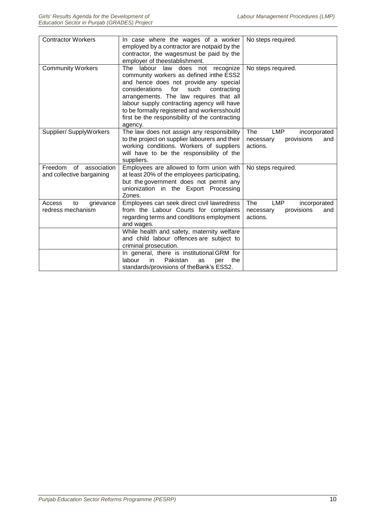| <b>Contractor Workers</b>                                 | In case where the wages of a worker<br>employed by a contractor are notpaid by the<br>contractor, the wagesmust be paid by the<br>employer of theestablishment.                                                                                                                                                                                                                | No steps required.                                                              |
|-----------------------------------------------------------|--------------------------------------------------------------------------------------------------------------------------------------------------------------------------------------------------------------------------------------------------------------------------------------------------------------------------------------------------------------------------------|---------------------------------------------------------------------------------|
| <b>Community Workers</b>                                  | The labour law does not<br>recognize<br>community workers as defined inthe ESS2<br>and hence does not provide any special<br>contracting<br>considerations<br>for<br>such<br>arrangements. The law requires that all<br>labour supply contracting agency will have<br>to be formally registered and workersshould<br>first be the responsibility of the contracting<br>agency. | No steps required.                                                              |
| Supplier/ SupplyWorkers                                   | The law does not assign any responsibility<br>to the project on supplier labourers and their<br>working conditions. Workers of suppliers<br>will have to be the responsibility of the<br>suppliers.                                                                                                                                                                            | The<br><b>LMP</b><br>incorporated<br>provisions<br>necessary<br>and<br>actions. |
| Freedom<br>of<br>association<br>and collective bargaining | Employees are allowed to form union with<br>at least 20% of the employees participating,<br>but the government does not permit any<br>unionization in the Export Processing<br>Zones.                                                                                                                                                                                          | No steps required.                                                              |
| Access<br>grievance<br>to<br>redress mechanism            | Employees can seek direct civil lawredress<br>from the Labour Courts for complaints<br>regarding terms and conditions employment<br>and wages.                                                                                                                                                                                                                                 | The<br><b>LMP</b><br>incorporated<br>necessary<br>provisions<br>and<br>actions. |
|                                                           | While health and safety, maternity welfare<br>and child labour offences are subject to<br>criminal prosecution.                                                                                                                                                                                                                                                                |                                                                                 |
|                                                           | In general, there is institutional GRM for<br>labour<br>Pakistan<br>in<br>as<br>the<br>per<br>standards/provisions of theBank's ESS2.                                                                                                                                                                                                                                          |                                                                                 |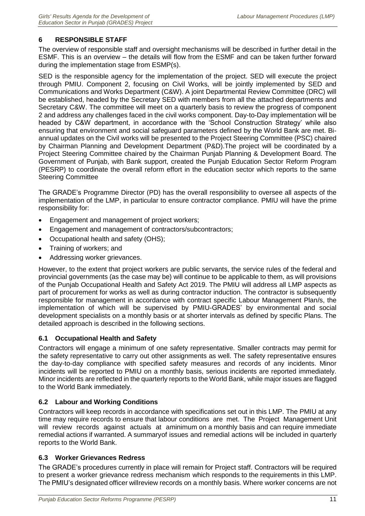# <span id="page-22-0"></span>**6 RESPONSIBLE STAFF**

The overview of responsible staff and oversight mechanisms will be described in further detail in the ESMF. This is an overview – the details will flow from the ESMF and can be taken further forward during the implementation stage from ESMP(s).

SED is the responsible agency for the implementation of the project. SED will execute the project through PMIU. Component 2, focusing on Civil Works, will be jointly implemented by SED and Communications and Works Department (C&W). A joint Departmental Review Committee (DRC) will be established, headed by the Secretary SED with members from all the attached departments and Secretary C&W. The committee will meet on a quarterly basis to review the progress of component 2 and address any challenges faced in the civil works component. Day-to-Day implementation will be headed by C&W department, in accordance with the 'School Construction Strategy' while also ensuring that environment and social safeguard parameters defined by the World Bank are met. Biannual updates on the Civil works will be presented to the Project Steering Committee (PSC) chaired by Chairman Planning and Development Department (P&D).The project will be coordinated by a Project Steering Committee chaired by the Chairman Punjab Planning & Development Board. The Government of Punjab, with Bank support, created the Punjab Education Sector Reform Program (PESRP) to coordinate the overall reform effort in the education sector which reports to the same Steering Committee

The GRADE's Programme Director (PD) has the overall responsibility to oversee all aspects of the implementation of the LMP, in particular to ensure contractor compliance. PMIU will have the prime responsibility for:

- Engagement and management of project workers;
- Engagement and management of contractors/subcontractors;
- Occupational health and safety (OHS);
- Training of workers; and
- Addressing worker grievances.

However, to the extent that project workers are public servants, the service rules of the federal and provincial governments (as the case may be) will continue to be applicable to them, as will provisions of the Punjab Occupational Health and Safety Act 2019. The PMIU will address all LMP aspects as part of procurement for works as well as during contractor induction. The contractor is subsequently responsible for management in accordance with contract specific Labour Management Plan/s, the implementation of which will be supervised by PMIU-GRADES' by environmental and social development specialists on a monthly basis or at shorter intervals as defined by specific Plans. The detailed approach is described in the following sections.

# <span id="page-22-1"></span>**6.1 Occupational Health and Safety**

Contractors will engage a minimum of one safety representative. Smaller contracts may permit for the safety representative to carry out other assignments as well. The safety representative ensures the day-to-day compliance with specified safety measures and records of any incidents. Minor incidents will be reported to PMIU on a monthly basis, serious incidents are reported immediately. Minor incidents are reflected in the quarterly reports to the World Bank, while major issues are flagged to the World Bank immediately.

# <span id="page-22-2"></span>**6.2 Labour and Working Conditions**

Contractors will keep records in accordance with specifications set out in this LMP. The PMIU at any time may require records to ensure that labour conditions are met. The Project Management Unit will review records against actuals at aminimum on a monthly basis and can require immediate remedial actions if warranted. A summaryof issues and remedial actions will be included in quarterly reports to the World Bank.

# <span id="page-22-3"></span>**6.3 Worker Grievances Redress**

The GRADE's procedures currently in place will remain for Project staff. Contractors will be required to present a worker grievance redress mechanism which responds to the requirements in this LMP. The PMIU's designated officer willreview records on a monthly basis. Where worker concerns are not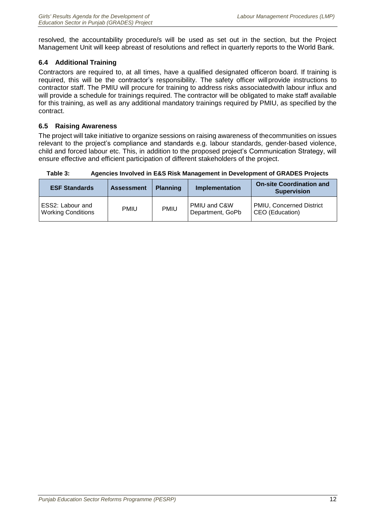resolved, the accountability procedure/s will be used as set out in the section, but the Project Management Unit will keep abreast of resolutions and reflect in quarterly reports to the World Bank.

# <span id="page-23-0"></span>**6.4 Additional Training**

Contractors are required to, at all times, have a qualified designated officeron board. If training is required, this will be the contractor's responsibility. The safety officer willprovide instructions to contractor staff. The PMIU will procure for training to address risks associatedwith labour influx and will provide a schedule for trainings required. The contractor will be obligated to make staff available for this training, as well as any additional mandatory trainings required by PMIU, as specified by the contract.

# <span id="page-23-1"></span>**6.5 Raising Awareness**

The project will take initiative to organize sessions on raising awareness of thecommunities on issues relevant to the project's compliance and standards e.g. labour standards, gender-based violence, child and forced labour etc. This, in addition to the proposed project's Communication Strategy, will ensure effective and efficient participation of different stakeholders of the project.

| <b>ESF Standards</b>                          | <b>Assessment</b> | <b>Planning</b> | <b>Implementation</b>            | <b>On-site Coordination and</b><br><b>Supervision</b> |
|-----------------------------------------------|-------------------|-----------------|----------------------------------|-------------------------------------------------------|
| ESS2: Labour and<br><b>Working Conditions</b> | <b>PMIU</b>       | <b>PMIU</b>     | PMIU and C&W<br>Department, GoPb | <b>PMIU, Concerned District</b><br>CEO (Education)    |

<span id="page-23-2"></span>**Table 3: Agencies Involved in E&S Risk Management in Development of GRADES Projects**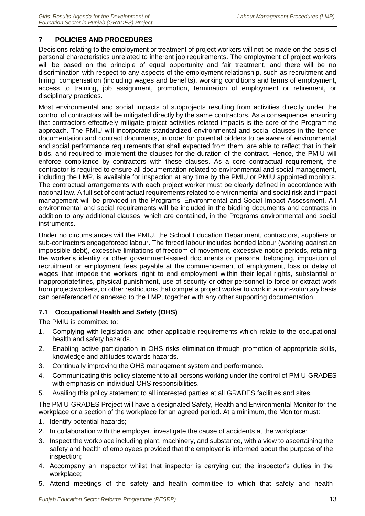# <span id="page-24-0"></span>**7 POLICIES AND PROCEDURES**

Decisions relating to the employment or treatment of project workers will not be made on the basis of personal characteristics unrelated to inherent job requirements. The employment of project workers will be based on the principle of equal opportunity and fair treatment, and there will be no discrimination with respect to any aspects of the employment relationship, such as recruitment and hiring, compensation (including wages and benefits), working conditions and terms of employment, access to training, job assignment, promotion, termination of employment or retirement, or disciplinary practices.

Most environmental and social impacts of subprojects resulting from activities directly under the control of contractors will be mitigated directly by the same contractors. As a consequence, ensuring that contractors effectively mitigate project activities related impacts is the core of the Programme approach. The PMIU will incorporate standardized environmental and social clauses in the tender documentation and contract documents, in order for potential bidders to be aware of environmental and social performance requirements that shall expected from them, are able to reflect that in their bids, and required to implement the clauses for the duration of the contract. Hence, the PMIU will enforce compliance by contractors with these clauses. As a core contractual requirement, the contractor is required to ensure all documentation related to environmental and social management, including the LMP, is available for inspection at any time by the PMIU or PMIU appointed monitors. The contractual arrangements with each project worker must be clearly defined in accordance with national law. A full set of contractual requirements related to environmental and social risk and impact management will be provided in the Programs' Environmental and Social Impact Assessment. All environmental and social requirements will be included in the bidding documents and contracts in addition to any additional clauses, which are contained, in the Programs environmental and social instruments.

Under no circumstances will the PMIU, the School Education Department, contractors, suppliers or sub-contractors engageforced labour. The forced labour includes bonded labour (working against an impossible debt), excessive limitations of freedom of movement, excessive notice periods, retaining the worker's identity or other government-issued documents or personal belonging, imposition of recruitment or employment fees payable at the commencement of employment, loss or delay of wages that impede the workers' right to end employment within their legal rights, substantial or inappropriate fines, physical punishment, use of security or other personnel to force or extract work from projectworkers, or other restrictions that compel a project worker to work in a non-voluntary basis can bereferenced or annexed to the LMP, together with any other supporting documentation.

# <span id="page-24-1"></span>**7.1 Occupational Health and Safety (OHS)**

The PMIU is committed to:

- 1. Complying with legislation and other applicable requirements which relate to the occupational health and safety hazards.
- 2. Enabling active participation in OHS risks elimination through promotion of appropriate skills, knowledge and attitudes towards hazards.
- 3. Continually improving the OHS management system and performance.
- 4. Communicating this policy statement to all persons working under the control of PMIU-GRADES with emphasis on individual OHS responsibilities.
- 5. Availing this policy statement to all interested parties at all GRADES facilities and sites.

The PMIU-GRADES Project will have a designated Safety, Health and Environmental Monitor for the workplace or a section of the workplace for an agreed period. At a minimum, the Monitor must:

- 1. Identify potential hazards;
- 2. In collaboration with the employer, investigate the cause of accidents at the workplace;
- 3. Inspect the workplace including plant, machinery, and substance, with a view to ascertaining the safety and health of employees provided that the employer is informed about the purpose of the inspection;
- 4. Accompany an inspector whilst that inspector is carrying out the inspector's duties in the workplace;
- 5. Attend meetings of the safety and health committee to which that safety and health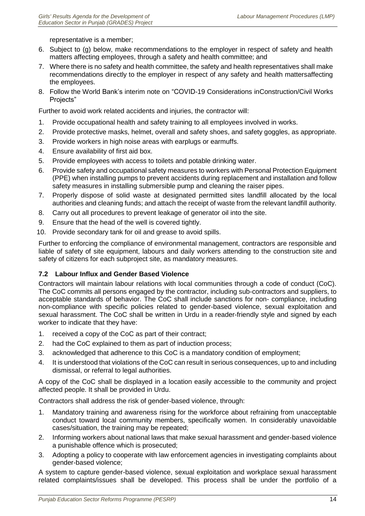representative is a member;

- 6. Subject to (g) below, make recommendations to the employer in respect of safety and health matters affecting employees, through a safety and health committee; and
- 7. Where there is no safety and health committee, the safety and health representatives shall make recommendations directly to the employer in respect of any safety and health mattersaffecting the employees.
- 8. Follow the World Bank's interim note on "COVID-19 Considerations inConstruction/Civil Works Projects"

Further to avoid work related accidents and injuries, the contractor will:

- 1. Provide occupational health and safety training to all employees involved in works.
- 2. Provide protective masks, helmet, overall and safety shoes, and safety goggles, as appropriate.
- 3. Provide workers in high noise areas with earplugs or earmuffs.
- 4. Ensure availability of first aid box.
- 5. Provide employees with access to toilets and potable drinking water.
- 6. Provide safety and occupational safety measures to workers with Personal Protection Equipment (PPE) when installing pumps to prevent accidents during replacement and installation and follow safety measures in installing submersible pump and cleaning the raiser pipes.
- 7. Properly dispose of solid waste at designated permitted sites landfill allocated by the local authorities and cleaning funds; and attach the receipt of waste from the relevant landfill authority.
- 8. Carry out all procedures to prevent leakage of generator oil into the site.
- 9. Ensure that the head of the well is covered tightly.
- 10. Provide secondary tank for oil and grease to avoid spills.

Further to enforcing the compliance of environmental management, contractors are responsible and liable of safety of site equipment, labours and daily workers attending to the construction site and safety of citizens for each subproject site, as mandatory measures.

# <span id="page-25-0"></span>**7.2 Labour Influx and Gender Based Violence**

Contractors will maintain labour relations with local communities through a code of conduct (CoC). The CoC commits all persons engaged by the contractor, including sub-contractors and suppliers, to acceptable standards of behavior. The CoC shall include sanctions for non- compliance, including non-compliance with specific policies related to gender-based violence, sexual exploitation and sexual harassment. The CoC shall be written in Urdu in a reader-friendly style and signed by each worker to indicate that they have:

- 1. received a copy of the CoC as part of their contract;
- 2. had the CoC explained to them as part of induction process;
- 3. acknowledged that adherence to this CoC is a mandatory condition of employment;
- 4. It is understood that violations of the CoC can result in serious consequences, up to and including dismissal, or referral to legal authorities.

A copy of the CoC shall be displayed in a location easily accessible to the community and project affected people. It shall be provided in Urdu.

Contractors shall address the risk of gender-based violence, through:

- 1. Mandatory training and awareness rising for the workforce about refraining from unacceptable conduct toward local community members, specifically women. In considerably unavoidable cases/situation, the training may be repeated;
- 2. Informing workers about national laws that make sexual harassment and gender-based violence a punishable offence which is prosecuted;
- 3. Adopting a policy to cooperate with law enforcement agencies in investigating complaints about gender-based violence;

A system to capture gender-based violence, sexual exploitation and workplace sexual harassment related complaints/issues shall be developed. This process shall be under the portfolio of a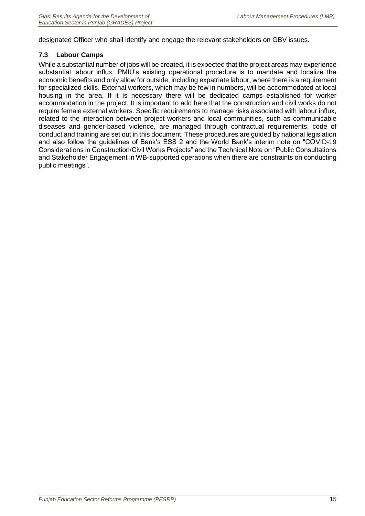designated Officer who shall identify and engage the relevant stakeholders on GBV issues.

# <span id="page-26-0"></span>**7.3 Labour Camps**

While a substantial number of jobs will be created, it is expected that the project areas may experience substantial labour influx. PMIU's existing operational procedure is to mandate and localize the economic benefits and only allow for outside, including expatriate labour, where there is a requirement for specialized skills. External workers, which may be few in numbers, will be accommodated at local housing in the area. If it is necessary there will be dedicated camps established for worker accommodation in the project. It is important to add here that the construction and civil works do not require female external workers. Specific requirements to manage risks associated with labour influx, related to the interaction between project workers and local communities, such as communicable diseases and gender-based violence, are managed through contractual requirements, code of conduct and training are set out in this document. These procedures are guided by national legislation and also follow the guidelines of Bank's ESS 2 and the World Bank's interim note on "COVID-19 Considerations in Construction/Civil Works Projects" and the Technical Note on "Public Consultations and Stakeholder Engagement in WB-supported operations when there are constraints on conducting public meetings".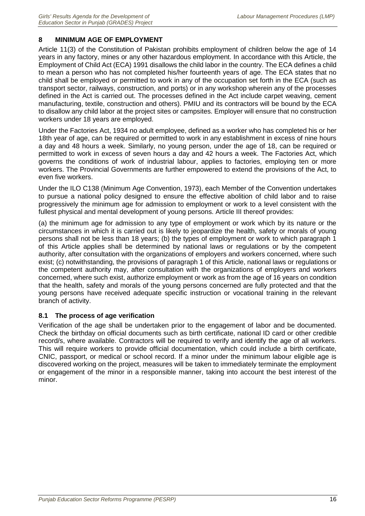# <span id="page-27-0"></span>**8 MINIMUM AGE OF EMPLOYMENT**

Article 11(3) of the Constitution of Pakistan prohibits employment of children below the age of 14 years in any factory, mines or any other hazardous employment. In accordance with this Article, the Employment of Child Act (ECA) 1991 disallows the child labor in the country. The ECA defines a child to mean a person who has not completed his/her fourteenth years of age. The ECA states that no child shall be employed or permitted to work in any of the occupation set forth in the ECA (such as transport sector, railways, construction, and ports) or in any workshop wherein any of the processes defined in the Act is carried out. The processes defined in the Act include carpet weaving, cement manufacturing, textile, construction and others). PMIU and its contractors will be bound by the ECA to disallow any child labor at the project sites or campsites. Employer will ensure that no construction workers under 18 years are employed.

Under the Factories Act, 1934 no adult employee, defined as a worker who has completed his or her 18th year of age, can be required or permitted to work in any establishment in excess of nine hours a day and 48 hours a week. Similarly, no young person, under the age of 18, can be required or permitted to work in excess of seven hours a day and 42 hours a week. The Factories Act, which governs the conditions of work of industrial labour, applies to factories, employing ten or more workers. The Provincial Governments are further empowered to extend the provisions of the Act, to even five workers.

Under the ILO C138 (Minimum Age Convention, 1973), each Member of the Convention undertakes to pursue a national policy designed to ensure the effective abolition of child labor and to raise progressively the minimum age for admission to employment or work to a level consistent with the fullest physical and mental development of young persons. Article III thereof provides:

(a) the minimum age for admission to any type of employment or work which by its nature or the circumstances in which it is carried out is likely to jeopardize the health, safety or morals of young persons shall not be less than 18 years; (b) the types of employment or work to which paragraph 1 of this Article applies shall be determined by national laws or regulations or by the competent authority, after consultation with the organizations of employers and workers concerned, where such exist; (c) notwithstanding, the provisions of paragraph 1 of this Article, national laws or regulations or the competent authority may, after consultation with the organizations of employers and workers concerned, where such exist, authorize employment or work as from the age of 16 years on condition that the health, safety and morals of the young persons concerned are fully protected and that the young persons have received adequate specific instruction or vocational training in the relevant branch of activity.

# <span id="page-27-1"></span>**8.1 The process of age verification**

Verification of the age shall be undertaken prior to the engagement of labor and be documented. Check the birthday on official documents such as birth certificate, national ID card or other credible record/s, where available. Contractors will be required to verify and identify the age of all workers. This will require workers to provide official documentation, which could include a birth certificate, CNIC, passport, or medical or school record. If a minor under the minimum labour eligible age is discovered working on the project, measures will be taken to immediately terminate the employment or engagement of the minor in a responsible manner, taking into account the best interest of the minor.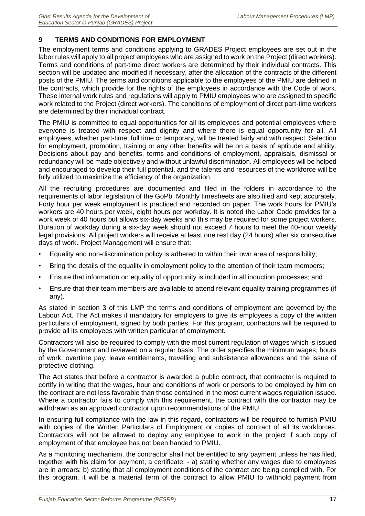# <span id="page-28-0"></span>**9 TERMS AND CONDITIONS FOR EMPLOYMENT**

The employment terms and conditions applying to GRADES Project employees are set out in the labor rules will apply to all project employees who are assigned to work on the Project (direct workers). Terms and conditions of part-time direct workers are determined by their individual contracts. This section will be updated and modified if necessary, after the allocation of the contracts of the different posts of the PMIU. The terms and conditions applicable to the employees of the PMIU are defined in the contracts, which provide for the rights of the employees in accordance with the Code of work. These internal work rules and regulations will apply to PMIU employees who are assigned to specific work related to the Project (direct workers). The conditions of employment of direct part-time workers are determined by their individual contract.

The PMIU is committed to equal opportunities for all its employees and potential employees where everyone is treated with respect and dignity and where there is equal opportunity for all. All employees, whether part-time, full time or temporary, will be treated fairly and with respect. Selection for employment, promotion, training or any other benefits will be on a basis of aptitude and ability. Decisions about pay and benefits, terms and conditions of employment, appraisals, dismissal or redundancy will be made objectively and without unlawful discrimination. All employees will be helped and encouraged to develop their full potential, and the talents and resources of the workforce will be fully utilized to maximize the efficiency of the organization.

All the recruiting procedures are documented and filed in the folders in accordance to the requirements of labor legislation of the GoPb. Monthly timesheets are also filed and kept accurately. Forty hour per week employment is practiced and recorded on paper. The work hours for PMIU's workers are 40 hours per week, eight hours per workday. It is noted the Labor Code provides for a work week of 40 hours but allows six-day weeks and this may be required for some project workers. Duration of workday during a six-day week should not exceed 7 hours to meet the 40-hour weekly legal provisions. All project workers will receive at least one rest day (24 hours) after six consecutive days of work. Project Management will ensure that:

- Equality and non-discrimination policy is adhered to within their own area of responsibility;
- Bring the details of the equality in employment policy to the attention of their team members;
- Ensure that information on equality of opportunity is included in all induction processes; and
- Ensure that their team members are available to attend relevant equality training programmes (if any).

As stated in section 3 of this LMP the terms and conditions of employment are governed by the Labour Act. The Act makes it mandatory for employers to give its employees a copy of the written particulars of employment, signed by both parties. For this program, contractors will be required to provide all its employees with written particular of employment.

Contractors will also be required to comply with the most current regulation of wages which is issued by the Government and reviewed on a regular basis. The order specifies the minimum wages, hours of work, overtime pay, leave entitlements, travelling and subsistence allowances and the issue of protective clothing.

The Act states that before a contractor is awarded a public contract, that contractor is required to certify in writing that the wages, hour and conditions of work or persons to be employed by him on the contract are not less favorable than those contained in the most current wages regulation issued. Where a contractor fails to comply with this requirement, the contract with the contractor may be withdrawn as an approved contractor upon recommendations of the PMIU.

In ensuring full compliance with the law in this regard, contractors will be required to furnish PMIU with copies of the Written Particulars of Employment or copies of contract of all its workforces. Contractors will not be allowed to deploy any employee to work in the project if such copy of employment of that employee has not been handed to PMIU.

As a monitoring mechanism, the contractor shall not be entitled to any payment unless he has filed, together with his claim for payment, a certificate: - a) stating whether any wages due to employees are in arrears; b) stating that all employment conditions of the contract are being complied with. For this program, it will be a material term of the contract to allow PMIU to withhold payment from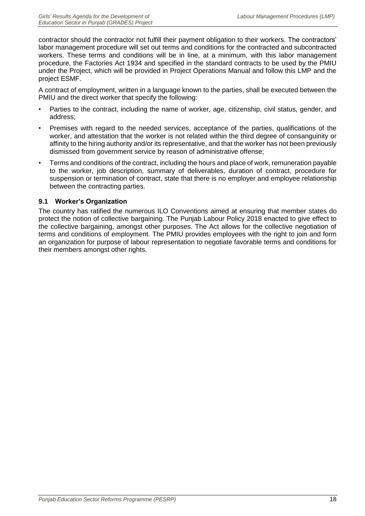contractor should the contractor not fulfill their payment obligation to their workers. The contractors' labor management procedure will set out terms and conditions for the contracted and subcontracted workers. These terms and conditions will be in line, at a minimum, with this labor management procedure, the Factories Act 1934 and specified in the standard contracts to be used by the PMIU under the Project, which will be provided in Project Operations Manual and follow this LMP and the project ESMF.

A contract of employment, written in a language known to the parties, shall be executed between the PMIU and the direct worker that specify the following:

- Parties to the contract, including the name of worker, age, citizenship, civil status, gender, and address;
- Premises with regard to the needed services, acceptance of the parties, qualifications of the worker, and attestation that the worker is not related within the third degree of consanguinity or affinity to the hiring authority and/or its representative, and that the worker has not been previously dismissed from government service by reason of administrative offense;
- Terms and conditions of the contract, including the hours and place of work, remuneration payable to the worker, job description, summary of deliverables, duration of contract, procedure for suspension or termination of contract, state that there is no employer and employee relationship between the contracting parties.

# <span id="page-29-0"></span>**9.1 Worker's Organization**

The country has ratified the numerous ILO Conventions aimed at ensuring that member states do protect the notion of collective bargaining. The Punjab Labour Policy 2018 enacted to give effect to the collective bargaining, amongst other purposes. The Act allows for the collective negotiation of terms and conditions of employment. The PMIU provides employees with the right to join and form an organization for purpose of labour representation to negotiate favorable terms and conditions for their members amongst other rights.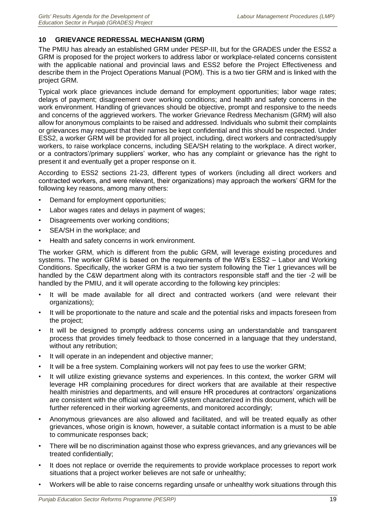# <span id="page-30-0"></span>**10 GRIEVANCE REDRESSAL MECHANISM (GRM)**

The PMIU has already an established GRM under PESP-III, but for the GRADES under the ESS2 a GRM is proposed for the project workers to address labor or workplace-related concerns consistent with the applicable national and provincial laws and ESS2 before the Project Effectiveness and describe them in the Project Operations Manual (POM). This is a two tier GRM and is linked with the project GRM.

Typical work place grievances include demand for employment opportunities; labor wage rates; delays of payment; disagreement over working conditions; and health and safety concerns in the work environment. Handling of grievances should be objective, prompt and responsive to the needs and concerns of the aggrieved workers. The worker Grievance Redress Mechanism (GRM) will also allow for anonymous complaints to be raised and addressed. Individuals who submit their complaints or grievances may request that their names be kept confidential and this should be respected. Under ESS2, a worker GRM will be provided for all project, including, direct workers and contracted/supply workers, to raise workplace concerns, including SEA/SH relating to the workplace. A direct worker, or a contractors'/primary suppliers' worker, who has any complaint or grievance has the right to present it and eventually get a proper response on it.

According to ESS2 sections 21-23, different types of workers (including all direct workers and contracted workers, and were relevant, their organizations) may approach the workers' GRM for the following key reasons, among many others:

- Demand for employment opportunities;
- Labor wages rates and delays in payment of wages;
- Disagreements over working conditions;
- SEA/SH in the workplace; and
- Health and safety concerns in work environment.

The worker GRM, which is different from the public GRM, will leverage existing procedures and systems. The worker GRM is based on the requirements of the WB's ESS2 – Labor and Working Conditions. Specifically, the worker GRM is a two tier system following the Tier 1 grievances will be handled by the C&W department along with its contractors responsible staff and the tier -2 will be handled by the PMIU, and it will operate according to the following key principles:

- It will be made available for all direct and contracted workers (and were relevant their organizations);
- It will be proportionate to the nature and scale and the potential risks and impacts foreseen from the project;
- It will be designed to promptly address concerns using an understandable and transparent process that provides timely feedback to those concerned in a language that they understand, without any retribution;
- It will operate in an independent and objective manner;
- It will be a free system. Complaining workers will not pay fees to use the worker GRM;
- It will utilize existing grievance systems and experiences. In this context, the worker GRM will leverage HR complaining procedures for direct workers that are available at their respective health ministries and departments, and will ensure HR procedures at contractors' organizations are consistent with the official worker GRM system characterized in this document, which will be further referenced in their working agreements, and monitored accordingly;
- Anonymous grievances are also allowed and facilitated, and will be treated equally as other grievances, whose origin is known, however, a suitable contact information is a must to be able to communicate responses back;
- There will be no discrimination against those who express grievances, and any grievances will be treated confidentially;
- It does not replace or override the requirements to provide workplace processes to report work situations that a project worker believes are not safe or unhealthy;
- Workers will be able to raise concerns regarding unsafe or unhealthy work situations through this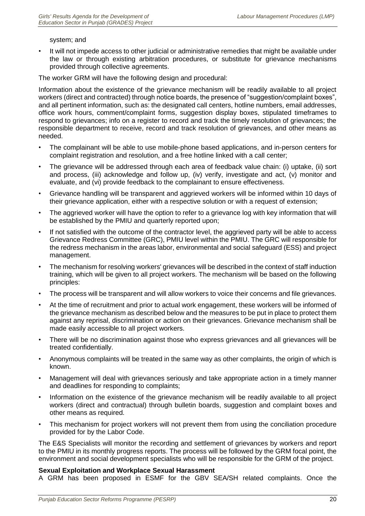#### system; and

• It will not impede access to other judicial or administrative remedies that might be available under the law or through existing arbitration procedures, or substitute for grievance mechanisms provided through collective agreements.

The worker GRM will have the following design and procedural:

Information about the existence of the grievance mechanism will be readily available to all project workers (direct and contracted) through notice boards, the presence of "suggestion/complaint boxes", and all pertinent information, such as: the designated call centers, hotline numbers, email addresses, office work hours, comment/complaint forms, suggestion display boxes, stipulated timeframes to respond to grievances; info on a register to record and track the timely resolution of grievances; the responsible department to receive, record and track resolution of grievances, and other means as needed.

- The complainant will be able to use mobile-phone based applications, and in-person centers for complaint registration and resolution, and a free hotline linked with a call center;
- The grievance will be addressed through each area of feedback value chain: (i) uptake, (ii) sort and process, (iii) acknowledge and follow up, (iv) verify, investigate and act, (v) monitor and evaluate, and (vi) provide feedback to the complainant to ensure effectiveness.
- Grievance handling will be transparent and aggrieved workers will be informed within 10 days of their grievance application, either with a respective solution or with a request of extension;
- The aggrieved worker will have the option to refer to a grievance log with key information that will be established by the PMIU and quarterly reported upon;
- If not satisfied with the outcome of the contractor level, the aggrieved party will be able to access Grievance Redress Committee (GRC), PMIU level within the PMIU. The GRC will responsible for the redress mechanism in the areas labor, environmental and social safeguard (ESS) and project management.
- The mechanism for resolving workers' grievances will be described in the context of staff induction training, which will be given to all project workers. The mechanism will be based on the following principles:
- The process will be transparent and will allow workers to voice their concerns and file grievances.
- At the time of recruitment and prior to actual work engagement, these workers will be informed of the grievance mechanism as described below and the measures to be put in place to protect them against any reprisal, discrimination or action on their grievances. Grievance mechanism shall be made easily accessible to all project workers.
- There will be no discrimination against those who express grievances and all grievances will be treated confidentially.
- Anonymous complaints will be treated in the same way as other complaints, the origin of which is known.
- Management will deal with grievances seriously and take appropriate action in a timely manner and deadlines for responding to complaints;
- Information on the existence of the grievance mechanism will be readily available to all project workers (direct and contractual) through bulletin boards, suggestion and complaint boxes and other means as required.
- This mechanism for project workers will not prevent them from using the conciliation procedure provided for by the Labor Code.

The E&S Specialists will monitor the recording and settlement of grievances by workers and report to the PMIU in its monthly progress reports. The process will be followed by the GRM focal point, the environment and social development specialists who will be responsible for the GRM of the project.

# **Sexual Exploitation and Workplace Sexual Harassment**

A GRM has been proposed in ESMF for the GBV SEA/SH related complaints. Once the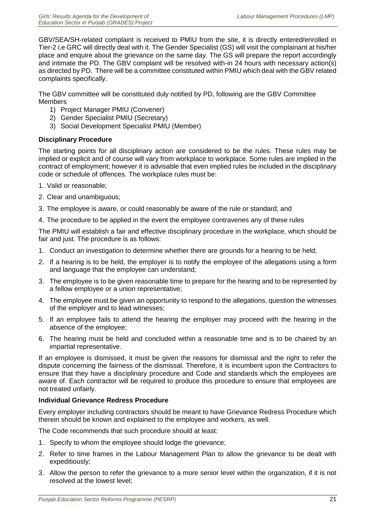GBV/SEA/SH-related complaint is received to PMIU from the site, it is directly entered/enrolled in Tier-2 i.e GRC will directly deal with it. The Gender Specialist (GS) will visit the complainant at his/her place and enquire about the grievance on the same day. The GS will prepare the report accordingly and intimate the PD. The GBV complaint will be resolved with-in 24 hours with necessary action(s) as directed by PD. There will be a committee constituted within PMIU which deal with the GBV related complaints specifically.

The GBV committee will be constituted duly notified by PD, following are the GBV Committee Members

- 1) Project Manager PMIU (Convener)
- 2) Gender Specialist PMIU (Secretary)
- 3) Social Development Specialist PMIU (Member)

#### **Disciplinary Procedure**

The starting points for all disciplinary action are considered to be the rules. These rules may be implied or explicit and of course will vary from workplace to workplace. Some rules are implied in the contract of employment; however it is advisable that even implied rules be included in the disciplinary code or schedule of offences. The workplace rules must be:

- 1. Valid or reasonable;
- 2. Clear and unambiguous;
- 3. The employee is aware, or could reasonably be aware of the rule or standard; and
- 4. The procedure to be applied in the event the employee contravenes any of these rules

The PMIU will establish a fair and effective disciplinary procedure in the workplace, which should be fair and just. The procedure is as follows:

- 1. Conduct an investigation to determine whether there are grounds for a hearing to be held;
- 2. If a hearing is to be held, the employer is to notify the employee of the allegations using a form and language that the employee can understand;
- 3. The employee is to be given reasonable time to prepare for the hearing and to be represented by a fellow employee or a union representative;
- 4. The employee must be given an opportunity to respond to the allegations, question the witnesses of the employer and to lead witnesses;
- 5. If an employee fails to attend the hearing the employer may proceed with the hearing in the absence of the employee;
- 6. The hearing must be held and concluded within a reasonable time and is to be chaired by an impartial representative.

If an employee is dismissed, it must be given the reasons for dismissal and the right to refer the dispute concerning the fairness of the dismissal. Therefore, it is incumbent upon the Contractors to ensure that they have a disciplinary procedure and Code and standards which the employees are aware of. Each contractor will be required to produce this procedure to ensure that employees are not treated unfairly.

#### **Individual Grievance Redress Procedure**

Every employer including contractors should be meant to have Grievance Redress Procedure which therein should be known and explained to the employee and workers, as well.

The Code recommends that such procedure should at least:

- 1. Specify to whom the employee should lodge the grievance;
- 2. Refer to time frames in the Labour Management Plan to allow the grievance to be dealt with expeditiously;
- 3. Allow the person to refer the grievance to a more senior level within the organization, if it is not resolved at the lowest level;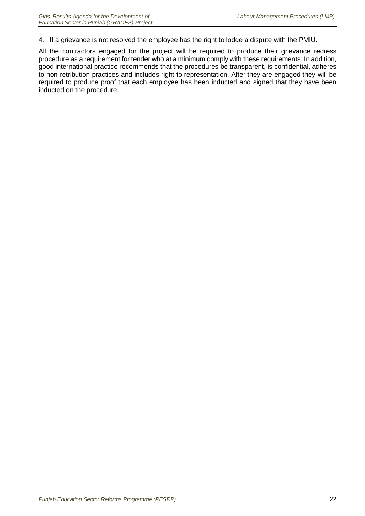4. If a grievance is not resolved the employee has the right to lodge a dispute with the PMIU.

All the contractors engaged for the project will be required to produce their grievance redress procedure as a requirement for tender who at a minimum comply with these requirements. In addition, good international practice recommends that the procedures be transparent, is confidential, adheres to non-retribution practices and includes right to representation. After they are engaged they will be required to produce proof that each employee has been inducted and signed that they have been inducted on the procedure.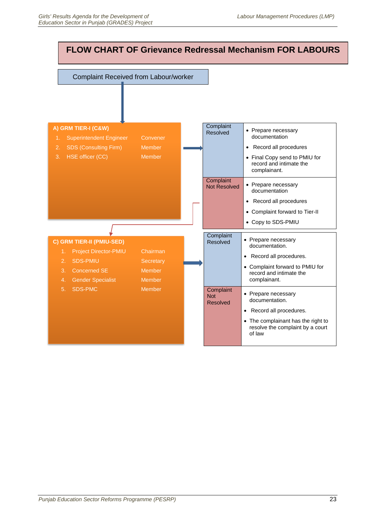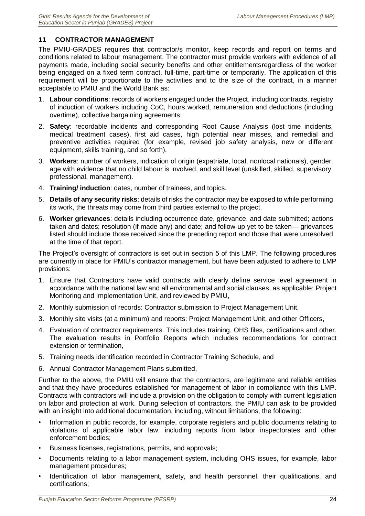# <span id="page-35-0"></span>**11 CONTRACTOR MANAGEMENT**

The PMIU-GRADES requires that contractor/s monitor, keep records and report on terms and conditions related to labour management. The contractor must provide workers with evidence of all payments made, including social security benefits and other entitlementsregardless of the worker being engaged on a fixed term contract, full-time, part-time or temporarily. The application of this requirement will be proportionate to the activities and to the size of the contract, in a manner acceptable to PMIU and the World Bank as:

- 1. **Labour conditions**: records of workers engaged under the Project, including contracts, registry of induction of workers including CoC, hours worked, remuneration and deductions (including overtime), collective bargaining agreements;
- 2. **Safety**: recordable incidents and corresponding Root Cause Analysis (lost time incidents, medical treatment cases), first aid cases, high potential near misses, and remedial and preventive activities required (for example, revised job safety analysis, new or different equipment, skills training, and so forth).
- 3. **Workers**: number of workers, indication of origin (expatriate, local, nonlocal nationals), gender, age with evidence that no child labour is involved, and skill level (unskilled, skilled, supervisory, professional, management).
- 4. **Training/ induction**: dates, number of trainees, and topics.
- 5. **Details of any security risks**: details of risks the contractor may be exposed to while performing its work, the threats may come from third parties external to the project.
- 6. **Worker grievances**: details including occurrence date, grievance, and date submitted; actions taken and dates; resolution (if made any) and date; and follow-up yet to be taken— grievances listed should include those received since the preceding report and those that were unresolved at the time of that report.

The Project's oversight of contractors is set out in section 5 of this LMP. The following procedures are currently in place for PMIU's contractor management, but have been adjusted to adhere to LMP provisions:

- 1. Ensure that Contractors have valid contracts with clearly define service level agreement in accordance with the national law and all environmental and social clauses, as applicable: Project Monitoring and Implementation Unit, and reviewed by PMIU,
- 2. Monthly submission of records: Contractor submission to Project Management Unit,
- 3. Monthly site visits (at a minimum) and reports: Project Management Unit, and other Officers,
- 4. Evaluation of contractor requirements. This includes training, OHS files, certifications and other. The evaluation results in Portfolio Reports which includes recommendations for contract extension or termination,
- 5. Training needs identification recorded in Contractor Training Schedule, and
- 6. Annual Contractor Management Plans submitted,

Further to the above, the PMIU will ensure that the contractors, are legitimate and reliable entities and that they have procedures established for management of labor in compliance with this LMP. Contracts with contractors will include a provision on the obligation to comply with current legislation on labor and protection at work. During selection of contractors, the PMIU can ask to be provided with an insight into additional documentation, including, without limitations, the following:

- Information in public records, for example, corporate registers and public documents relating to violations of applicable labor law, including reports from labor inspectorates and other enforcement bodies;
- Business licenses, registrations, permits, and approvals;
- Documents relating to a labor management system, including OHS issues, for example, labor management procedures;
- Identification of labor management, safety, and health personnel, their qualifications, and certifications;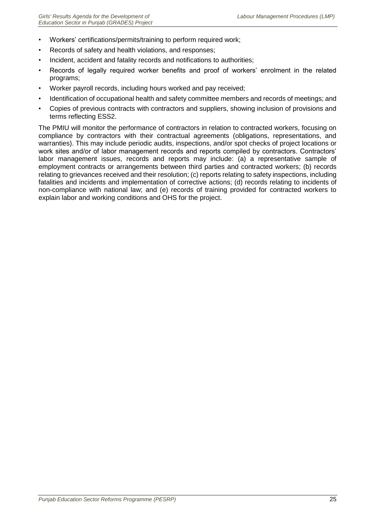- Workers' certifications/permits/training to perform required work;
- Records of safety and health violations, and responses;
- Incident, accident and fatality records and notifications to authorities;
- Records of legally required worker benefits and proof of workers' enrolment in the related programs;
- Worker payroll records, including hours worked and pay received;
- Identification of occupational health and safety committee members and records of meetings; and
- Copies of previous contracts with contractors and suppliers, showing inclusion of provisions and terms reflecting ESS2.

The PMIU will monitor the performance of contractors in relation to contracted workers, focusing on compliance by contractors with their contractual agreements (obligations, representations, and warranties). This may include periodic audits, inspections, and/or spot checks of project locations or work sites and/or of labor management records and reports compiled by contractors. Contractors' labor management issues, records and reports may include: (a) a representative sample of employment contracts or arrangements between third parties and contracted workers; (b) records relating to grievances received and their resolution; (c) reports relating to safety inspections, including fatalities and incidents and implementation of corrective actions; (d) records relating to incidents of non-compliance with national law; and (e) records of training provided for contracted workers to explain labor and working conditions and OHS for the project.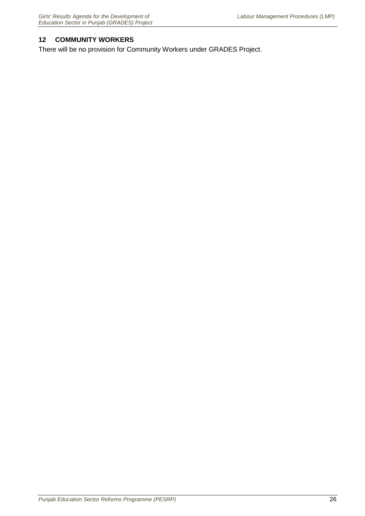# <span id="page-37-0"></span>**12 COMMUNITY WORKERS**

There will be no provision for Community Workers under GRADES Project.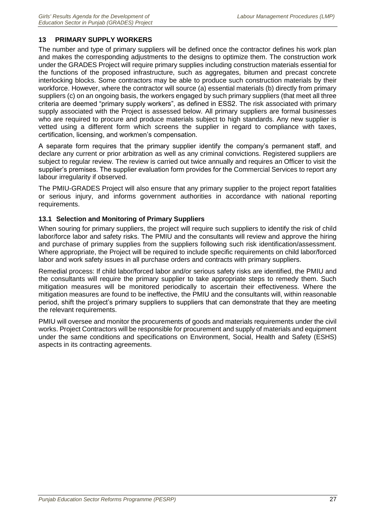# <span id="page-38-0"></span>**13 PRIMARY SUPPLY WORKERS**

The number and type of primary suppliers will be defined once the contractor defines his work plan and makes the corresponding adjustments to the designs to optimize them. The construction work under the GRADES Project will require primary supplies including construction materials essential for the functions of the proposed infrastructure, such as aggregates, bitumen and precast concrete interlocking blocks. Some contractors may be able to produce such construction materials by their workforce. However, where the contractor will source (a) essential materials (b) directly from primary suppliers (c) on an ongoing basis, the workers engaged by such primary suppliers (that meet all three criteria are deemed "primary supply workers", as defined in ESS2. The risk associated with primary supply associated with the Project is assessed below. All primary suppliers are formal businesses who are required to procure and produce materials subject to high standards. Any new supplier is vetted using a different form which screens the supplier in regard to compliance with taxes, certification, licensing, and workmen's compensation.

A separate form requires that the primary supplier identify the company's permanent staff, and declare any current or prior arbitration as well as any criminal convictions. Registered suppliers are subject to regular review. The review is carried out twice annually and requires an Officer to visit the supplier's premises. The supplier evaluation form provides for the Commercial Services to report any labour irregularity if observed.

The PMIU-GRADES Project will also ensure that any primary supplier to the project report fatalities or serious injury, and informs government authorities in accordance with national reporting requirements.

# <span id="page-38-1"></span>**13.1 Selection and Monitoring of Primary Suppliers**

When souring for primary suppliers, the project will require such suppliers to identify the risk of child labor/force labor and safety risks. The PMIU and the consultants will review and approve the hiring and purchase of primary supplies from the suppliers following such risk identification/assessment. Where appropriate, the Project will be required to include specific requirements on child labor/forced labor and work safety issues in all purchase orders and contracts with primary suppliers.

Remedial process: If child labor/forced labor and/or serious safety risks are identified, the PMIU and the consultants will require the primary supplier to take appropriate steps to remedy them. Such mitigation measures will be monitored periodically to ascertain their effectiveness. Where the mitigation measures are found to be ineffective, the PMIU and the consultants will, within reasonable period, shift the project's primary suppliers to suppliers that can demonstrate that they are meeting the relevant requirements.

PMIU will oversee and monitor the procurements of goods and materials requirements under the civil works. Project Contractors will be responsible for procurement and supply of materials and equipment under the same conditions and specifications on Environment, Social, Health and Safety (ESHS) aspects in its contracting agreements.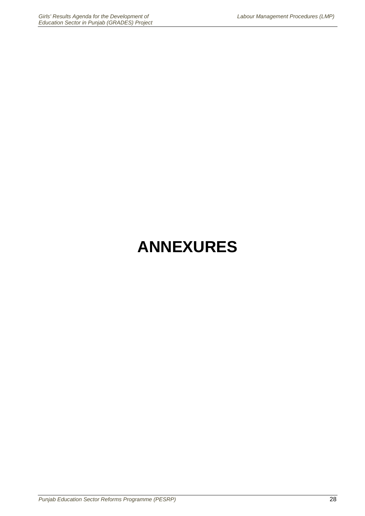# **ANNEXURES**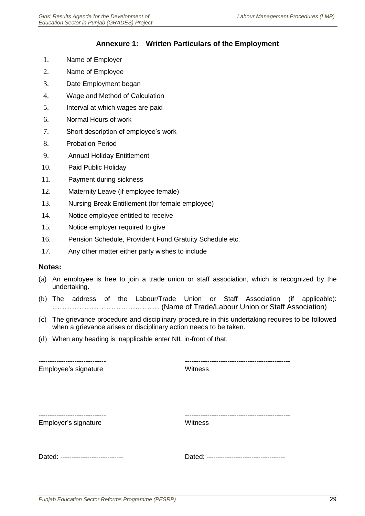# **Annexure 1: Written Particulars of the Employment**

- <span id="page-40-0"></span>1. Name of Employer
- 2. Name of Employee
- 3. Date Employment began
- 4. Wage and Method of Calculation
- 5. Interval at which wages are paid
- 6. Normal Hours of work
- 7. Short description of employee's work
- 8. Probation Period
- 9. Annual Holiday Entitlement
- 10. Paid Public Holiday
- 11. Payment during sickness
- 12. Maternity Leave (if employee female)
- 13. Nursing Break Entitlement (for female employee)
- 14. Notice employee entitled to receive
- 15. Notice employer required to give
- 16. Pension Schedule, Provident Fund Gratuity Schedule etc.
- 17. Any other matter either party wishes to include

#### **Notes:**

- (a) An employee is free to join a trade union or staff association, which is recognized by the undertaking.
- (b) The address of the Labour/Trade Union or Staff Association (if applicable): ………………………….….……… (Name of Trade/Labour Union or Staff Association)
- (c) The grievance procedure and disciplinary procedure in this undertaking requires to be followed when a grievance arises or disciplinary action needs to be taken.
- (d) When any heading is inapplicable enter NIL in-front of that.

Employee's signature Witness

------------------------------ -----------------------------------------------

------------------------------ -----------------------------------------------

Employer's signature Witness

Dated: ---------------------------- Dated: -----------------------------------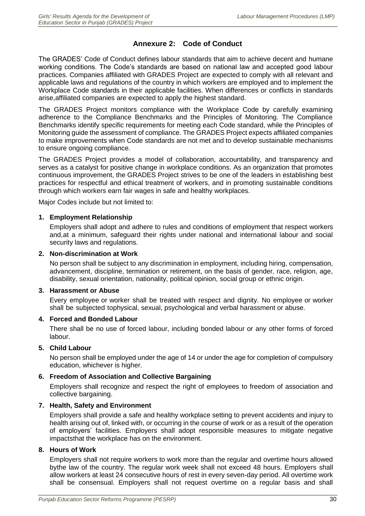# **Annexure 2: Code of Conduct**

<span id="page-41-0"></span>The GRADES' Code of Conduct defines labour standards that aim to achieve decent and humane working conditions. The Code's standards are based on national law and accepted good labour practices. Companies affiliated with GRADES Project are expected to comply with all relevant and applicable laws and regulations of the country in which workers are employed and to implement the Workplace Code standards in their applicable facilities. When differences or conflicts in standards arise,affiliated companies are expected to apply the highest standard.

The GRADES Project monitors compliance with the Workplace Code by carefully examining adherence to the Compliance Benchmarks and the Principles of Monitoring. The Compliance Benchmarks identify specific requirements for meeting each Code standard, while the Principles of Monitoring guide the assessment of compliance. The GRADES Project expects affiliated companies to make improvements when Code standards are not met and to develop sustainable mechanisms to ensure ongoing compliance.

The GRADES Project provides a model of collaboration, accountability, and transparency and serves as a catalyst for positive change in workplace conditions. As an organization that promotes continuous improvement, the GRADES Project strives to be one of the leaders in establishing best practices for respectful and ethical treatment of workers, and in promoting sustainable conditions through which workers earn fair wages in safe and healthy workplaces.

Major Codes include but not limited to:

#### **1. Employment Relationship**

Employers shall adopt and adhere to rules and conditions of employment that respect workers and,at a minimum, safeguard their rights under national and international labour and social security laws and regulations.

#### **2. Non-discrimination at Work**

No person shall be subject to any discrimination in employment, including hiring, compensation, advancement, discipline, termination or retirement, on the basis of gender, race, religion, age, disability, sexual orientation, nationality, political opinion, social group or ethnic origin.

#### **3. Harassment or Abuse**

Every employee or worker shall be treated with respect and dignity. No employee or worker shall be subjected tophysical, sexual, psychological and verbal harassment or abuse.

#### **4. Forced and Bonded Labour**

There shall be no use of forced labour, including bonded labour or any other forms of forced labour.

#### **5. Child Labour**

No person shall be employed under the age of 14 or under the age for completion of compulsory education, whichever is higher.

#### **6. Freedom of Association and Collective Bargaining**

Employers shall recognize and respect the right of employees to freedom of association and collective bargaining.

#### **7. Health, Safety and Environment**

Employers shall provide a safe and healthy workplace setting to prevent accidents and injury to health arising out of, linked with, or occurring in the course of work or as a result of the operation of employers' facilities. Employers shall adopt responsible measures to mitigate negative impactsthat the workplace has on the environment.

#### **8. Hours of Work**

Employers shall not require workers to work more than the regular and overtime hours allowed bythe law of the country. The regular work week shall not exceed 48 hours. Employers shall allow workers at least 24 consecutive hours of rest in every seven-day period. All overtime work shall be consensual. Employers shall not request overtime on a regular basis and shall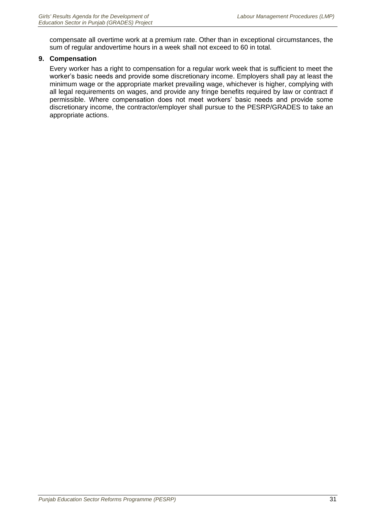compensate all overtime work at a premium rate. Other than in exceptional circumstances, the sum of regular andovertime hours in a week shall not exceed to 60 in total.

#### **9. Compensation**

Every worker has a right to compensation for a regular work week that is sufficient to meet the worker's basic needs and provide some discretionary income. Employers shall pay at least the minimum wage or the appropriate market prevailing wage, whichever is higher, complying with all legal requirements on wages, and provide any fringe benefits required by law or contract if permissible. Where compensation does not meet workers' basic needs and provide some discretionary income, the contractor/employer shall pursue to the PESRP/GRADES to take an appropriate actions.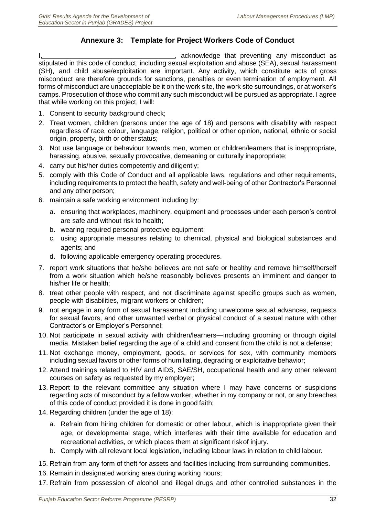# **Annexure 3: Template for Project Workers Code of Conduct**

<span id="page-43-0"></span>, acknowledge that preventing any misconduct as stipulated in this code of conduct, including sexual exploitation and abuse (SEA), sexual harassment (SH), and child abuse/exploitation are important. Any activity, which constitute acts of gross misconduct are therefore grounds for sanctions, penalties or even termination of employment. All forms of misconduct are unacceptable be it on the work site, the work site surroundings, or at worker's camps. Prosecution of those who commit any such misconduct will be pursued as appropriate. I agree that while working on this project, I will:

- 1. Consent to security background check;
- 2. Treat women, children (persons under the age of 18) and persons with disability with respect regardless of race, colour, language, religion, political or other opinion, national, ethnic or social origin, property, birth or other status;
- 3. Not use language or behaviour towards men, women or children/learners that is inappropriate, harassing, abusive, sexually provocative, demeaning or culturally inappropriate;
- 4. carry out his/her duties competently and diligently;
- 5. comply with this Code of Conduct and all applicable laws, regulations and other requirements, including requirements to protect the health, safety and well-being of other Contractor's Personnel and any other person;
- 6. maintain a safe working environment including by:
	- a. ensuring that workplaces, machinery, equipment and processes under each person's control are safe and without risk to health;
	- b. wearing required personal protective equipment;
	- c. using appropriate measures relating to chemical, physical and biological substances and agents; and
	- d. following applicable emergency operating procedures.
- 7. report work situations that he/she believes are not safe or healthy and remove himself/herself from a work situation which he/she reasonably believes presents an imminent and danger to his/her life or health;
- 8. treat other people with respect, and not discriminate against specific groups such as women, people with disabilities, migrant workers or children;
- 9. not engage in any form of sexual harassment including unwelcome sexual advances, requests for sexual favors, and other unwanted verbal or physical conduct of a sexual nature with other Contractor's or Employer's Personnel;
- 10. Not participate in sexual activity with children/learners—including grooming or through digital media. Mistaken belief regarding the age of a child and consent from the child is not a defense;
- 11. Not exchange money, employment, goods, or services for sex, with community members including sexual favors or other forms of humiliating, degrading or exploitative behavior;
- 12. Attend trainings related to HIV and AIDS, SAE/SH, occupational health and any other relevant courses on safety as requested by my employer;
- 13. Report to the relevant committee any situation where I may have concerns or suspicions regarding acts of misconduct by a fellow worker, whether in my company or not, or any breaches of this code of conduct provided it is done in good faith;
- 14. Regarding children (under the age of 18):
	- a. Refrain from hiring children for domestic or other labour, which is inappropriate given their age, or developmental stage, which interferes with their time available for education and recreational activities, or which places them at significant riskof injury.
	- b. Comply with all relevant local legislation, including labour laws in relation to child labour.
- 15. Refrain from any form of theft for assets and facilities including from surrounding communities.
- 16. Remain in designated working area during working hours;
- 17. Refrain from possession of alcohol and illegal drugs and other controlled substances in the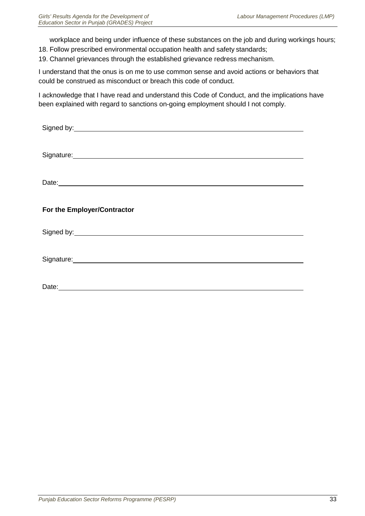workplace and being under influence of these substances on the job and during workings hours;

- 18. Follow prescribed environmental occupation health and safety standards;
- 19. Channel grievances through the established grievance redress mechanism.

I understand that the onus is on me to use common sense and avoid actions or behaviors that could be construed as misconduct or breach this code of conduct.

I acknowledge that I have read and understand this Code of Conduct, and the implications have been explained with regard to sanctions on-going employment should I not comply.

| Signature: <u>contract and contract and contract and contract and contract and contract and contract and contract and contract and contract and contract and contract and contract and contract and contract and contract and co</u> |
|--------------------------------------------------------------------------------------------------------------------------------------------------------------------------------------------------------------------------------------|
|                                                                                                                                                                                                                                      |
|                                                                                                                                                                                                                                      |
|                                                                                                                                                                                                                                      |
|                                                                                                                                                                                                                                      |
|                                                                                                                                                                                                                                      |
|                                                                                                                                                                                                                                      |
| For the Employer/Contractor                                                                                                                                                                                                          |
|                                                                                                                                                                                                                                      |
| Signed by: <u>example and a series of the series of the series of the series of the series of the series of the series of the series of the series of the series of the series of the series of the series of the series of the </u> |
|                                                                                                                                                                                                                                      |
|                                                                                                                                                                                                                                      |
| Signature: Signature: Signature: Signature: Signature: Signature: Signature: Signature: Signature: Signature: Signature: Signature: Signature: Signature: Signature: Signature: Signature: Signature: Signature: Signature: Si       |
|                                                                                                                                                                                                                                      |
|                                                                                                                                                                                                                                      |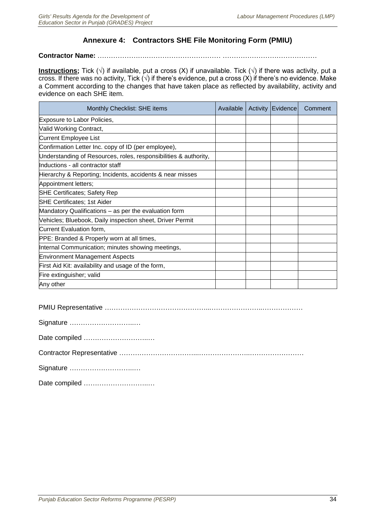# **Annexure 4: Contractors SHE File Monitoring Form (PMIU)**

#### <span id="page-45-0"></span>**Contractor Name:** ………………….…………………………… ……………………………………

**Instructions;** Tick ( $\sqrt{ }$ ) if available, put a cross (X) if unavailable. Tick ( $\sqrt{ }$ ) if there was activity, put a cross. If there was no activity, Tick ( $\sqrt{ }$ ) if there's evidence, put a cross (X) if there's no evidence. Make a Comment according to the changes that have taken place as reflected by availability, activity and evidence on each SHE item.

| Monthly Checklist: SHE items                                     | Available | Activity   Evidence | Comment |
|------------------------------------------------------------------|-----------|---------------------|---------|
| Exposure to Labor Policies,                                      |           |                     |         |
| Valid Working Contract,                                          |           |                     |         |
| Current Employee List                                            |           |                     |         |
| Confirmation Letter Inc. copy of ID (per employee),              |           |                     |         |
| Understanding of Resources, roles, responsibilities & authority, |           |                     |         |
| Inductions - all contractor staff                                |           |                     |         |
| Hierarchy & Reporting; Incidents, accidents & near misses        |           |                     |         |
| Appointment letters;                                             |           |                     |         |
| <b>SHE Certificates; Safety Rep</b>                              |           |                     |         |
| <b>SHE Certificates; 1st Aider</b>                               |           |                     |         |
| Mandatory Qualifications - as per the evaluation form            |           |                     |         |
| Vehicles; Bluebook, Daily inspection sheet, Driver Permit        |           |                     |         |
| Current Evaluation form,                                         |           |                     |         |
| PPE: Branded & Properly worn at all times,                       |           |                     |         |
| Internal Communication; minutes showing meetings,                |           |                     |         |
| <b>Environment Management Aspects</b>                            |           |                     |         |
| First Aid Kit: availability and usage of the form,               |           |                     |         |
| Fire extinguisher; valid                                         |           |                     |         |
| Any other                                                        |           |                     |         |

PMIU Representative ………………………………………...…………………..………………

|  | Signature |  |
|--|-----------|--|
|--|-----------|--|

Date compiled ………………………..…

Contractor Representative ……………………………...…………………..……………………

Signature ………………………..…

Date compiled ………………………..…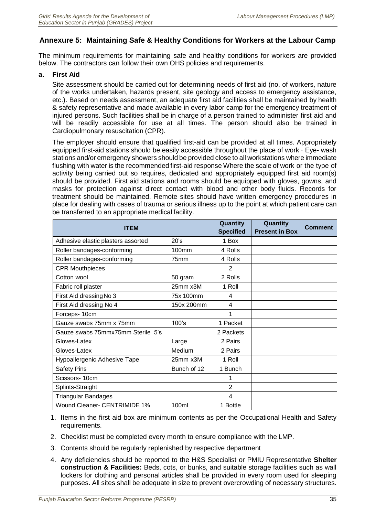# <span id="page-46-0"></span>**Annexure 5: Maintaining Safe & Healthy Conditions for Workers at the Labour Camp**

The minimum requirements for maintaining safe and healthy conditions for workers are provided below. The contractors can follow their own OHS policies and requirements.

#### **a. First Aid**

Site assessment should be carried out for determining needs of first aid (no. of workers, nature of the works undertaken, hazards present, site geology and access to emergency assistance, etc.). Based on needs assessment, an adequate first aid facilities shall be maintained by health & safety representative and made available in every labor camp for the emergency treatment of injured persons. Such facilities shall be in charge of a person trained to administer first aid and will be readily accessible for use at all times. The person should also be trained in Cardiopulmonary resuscitation (CPR).

The employer should ensure that qualified first-aid can be provided at all times. Appropriately equipped first-aid stations should be easily accessible throughout the place of work · Eye- wash stations and/or emergency showers should be provided close to all workstations where immediate flushing with water is the recommended first-aid response Where the scale of work or the type of activity being carried out so requires, dedicated and appropriately equipped first aid room(s) should be provided. First aid stations and rooms should be equipped with gloves, gowns, and masks for protection against direct contact with blood and other body fluids. Records for treatment should be maintained. Remote sites should have written emergency procedures in place for dealing with cases of trauma or serious illness up to the point at which patient care can be transferred to an appropriate medical facility.

| <b>ITEM</b>                        |                   | Quantity<br><b>Specified</b> | Quantity<br><b>Present in Box</b> | <b>Comment</b> |
|------------------------------------|-------------------|------------------------------|-----------------------------------|----------------|
| Adhesive elastic plasters assorted | 20's              | 1 Box                        |                                   |                |
| Roller bandages-conforming         | 100 <sub>mm</sub> | 4 Rolls                      |                                   |                |
| Roller bandages-conforming         | 75mm              | 4 Rolls                      |                                   |                |
| <b>CPR Mouthpieces</b>             |                   | 2                            |                                   |                |
| Cotton wool                        | 50 gram           | 2 Rolls                      |                                   |                |
| Fabric roll plaster                | 25mm x3M          | 1 Roll                       |                                   |                |
| First Aid dressing No 3            | 75x 100mm         | 4                            |                                   |                |
| First Aid dressing No 4            | 150x 200mm        | 4                            |                                   |                |
| Forceps-10cm                       |                   | 1                            |                                   |                |
| Gauze swabs 75mm x 75mm            | 100's             | 1 Packet                     |                                   |                |
| Gauze swabs 75mmx75mm Sterile 5's  |                   | 2 Packets                    |                                   |                |
| Gloves-Latex                       | Large             | 2 Pairs                      |                                   |                |
| Gloves-Latex                       | Medium            | 2 Pairs                      |                                   |                |
| Hypoallergenic Adhesive Tape       | 25mm x3M          | 1 Roll                       |                                   |                |
| <b>Safety Pins</b>                 | Bunch of 12       | 1 Bunch                      |                                   |                |
| Scissors- 10cm                     |                   | 1                            |                                   |                |
| Splints-Straight                   |                   | $\overline{2}$               |                                   |                |
| <b>Triangular Bandages</b>         |                   | 4                            |                                   |                |
| Wound Cleaner- CENTRIMIDE 1%       | 100ml             | 1 Bottle                     |                                   |                |

- 1. Items in the first aid box are minimum contents as per the Occupational Health and Safety requirements.
- 2. Checklist must be completed every month to ensure compliance with the LMP.
- 3. Contents should be regularly replenished by respective department
- 4. Any deficiencies should be reported to the H&S Specialist or PMIU Representative **Shelter construction & Facilities:** Beds, cots, or bunks, and suitable storage facilities such as wall lockers for clothing and personal articles shall be provided in every room used for sleeping purposes. All sites shall be adequate in size to prevent overcrowding of necessary structures.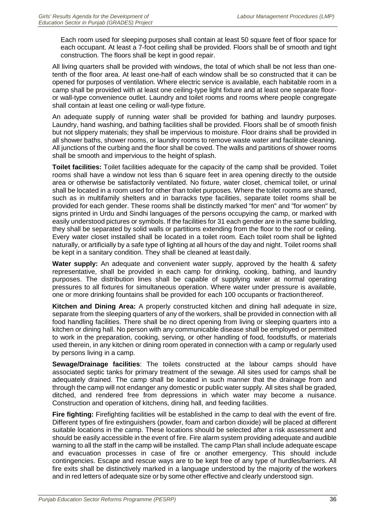Each room used for sleeping purposes shall contain at least 50 square feet of floor space for each occupant. At least a 7-foot ceiling shall be provided. Floors shall be of smooth and tight construction. The floors shall be kept in good repair.

All living quarters shall be provided with windows, the total of which shall be not less than onetenth of the floor area. At least one-half of each window shall be so constructed that it can be opened for purposes of ventilation. Where electric service is available, each habitable room in a camp shall be provided with at least one ceiling-type light fixture and at least one separate flooror wall-type convenience outlet. Laundry and toilet rooms and rooms where people congregate shall contain at least one ceiling or wall-type fixture.

An adequate supply of running water shall be provided for bathing and laundry purposes. Laundry, hand washing, and bathing facilities shall be provided. Floors shall be of smooth finish but not slippery materials; they shall be impervious to moisture. Floor drains shall be provided in all shower baths, shower rooms, or laundry rooms to remove waste water and facilitate cleaning. All junctions of the curbing and the floor shall be coved. The walls and partitions of shower rooms shall be smooth and impervious to the height of splash.

**Toilet facilities:** Toilet facilities adequate for the capacity of the camp shall be provided. Toilet rooms shall have a window not less than 6 square feet in area opening directly to the outside area or otherwise be satisfactorily ventilated. No fixture, water closet, chemical toilet, or urinal shall be located in a room used for other than toilet purposes. Where the toilet rooms are shared, such as in multifamily shelters and in barracks type facilities, separate toilet rooms shall be provided for each gender. These rooms shall be distinctly marked "for men" and "for women" by signs printed in Urdu and Sindhi languages of the persons occupying the camp, or marked with easily understood pictures or symbols. If the facilities for 31 each gender are in the same building, they shall be separated by solid walls or partitions extending from the floor to the roof or ceiling. Every water closet installed shall be located in a toilet room. Each toilet room shall be lighted naturally, or artificially by a safe type of lighting at all hours of the day and night. Toilet rooms shall be kept in a sanitary condition. They shall be cleaned at least daily.

**Water supply:** An adequate and convenient water supply, approved by the health & safety representative, shall be provided in each camp for drinking, cooking, bathing, and laundry purposes. The distribution lines shall be capable of supplying water at normal operating pressures to all fixtures for simultaneous operation. Where water under pressure is available, one or more drinking fountains shall be provided for each 100 occupants or fractionthereof.

**Kitchen and Dining Area:** A properly constructed kitchen and dining hall adequate in size, separate from the sleeping quarters of any of the workers, shall be provided in connection with all food handling facilities. There shall be no direct opening from living or sleeping quarters into a kitchen or dining hall. No person with any communicable disease shall be employed or permitted to work in the preparation, cooking, serving, or other handling of food, foodstuffs, or materials used therein, in any kitchen or dining room operated in connection with a camp or regularly used by persons living in a camp.

**Sewage/Drainage facilities**: The toilets constructed at the labour camps should have associated septic tanks for primary treatment of the sewage. All sites used for camps shall be adequately drained. The camp shall be located in such manner that the drainage from and through the camp will not endanger any domestic or public water supply. All sites shall be graded, ditched, and rendered free from depressions in which water may become a nuisance. Construction and operation of kitchens, dining hall, and feeding facilities.

**Fire fighting:** Firefighting facilities will be established in the camp to deal with the event of fire. Different types of fire extinguishers (powder, foam and carbon dioxide) will be placed at different suitable locations in the camp. These locations should be selected after a risk assessment and should be easily accessible in the event of fire. Fire alarm system providing adequate and audible warning to all the staff in the camp will be installed. The camp Plan shall include adequate escape and evacuation processes in case of fire or another emergency. This should include contingencies. Escape and rescue ways are to be kept free of any type of hurdles/barriers. All fire exits shall be distinctively marked in a language understood by the majority of the workers and in red letters of adequate size or by some other effective and clearly understood sign.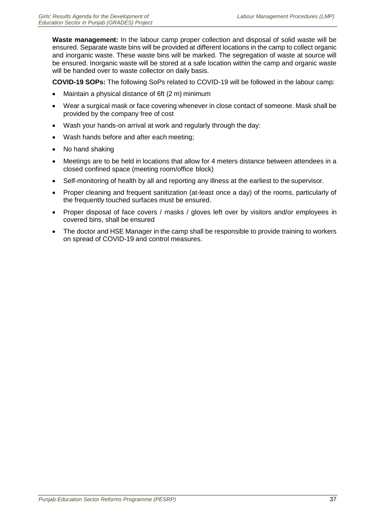**Waste management:** In the labour camp proper collection and disposal of solid waste will be ensured. Separate waste bins will be provided at different locations in the camp to collect organic and inorganic waste. These waste bins will be marked. The segregation of waste at source will be ensured. Inorganic waste will be stored at a safe location within the camp and organic waste will be handed over to waste collector on daily basis.

**COVID-19 SOPs:** The following SoPs related to COVID-19 will be followed in the labour camp:

- Maintain a physical distance of 6ft (2 m) minimum
- Wear a surgical mask or face covering whenever in close contact of someone. Mask shall be provided by the company free of cost
- Wash your hands-on arrival at work and regularly through the day:
- Wash hands before and after each meeting;
- No hand shaking
- Meetings are to be held in locations that allow for 4 meters distance between attendees in a closed confined space (meeting room/office block)
- Self-monitoring of health by all and reporting any illness at the earliest to the supervisor.
- Proper cleaning and frequent sanitization (at-least once a day) of the rooms, particularly of the frequently touched surfaces must be ensured.
- Proper disposal of face covers / masks / gloves left over by visitors and/or employees in covered bins, shall be ensured
- The doctor and HSE Manager in the camp shall be responsible to provide training to workers on spread of COVID-19 and control measures.